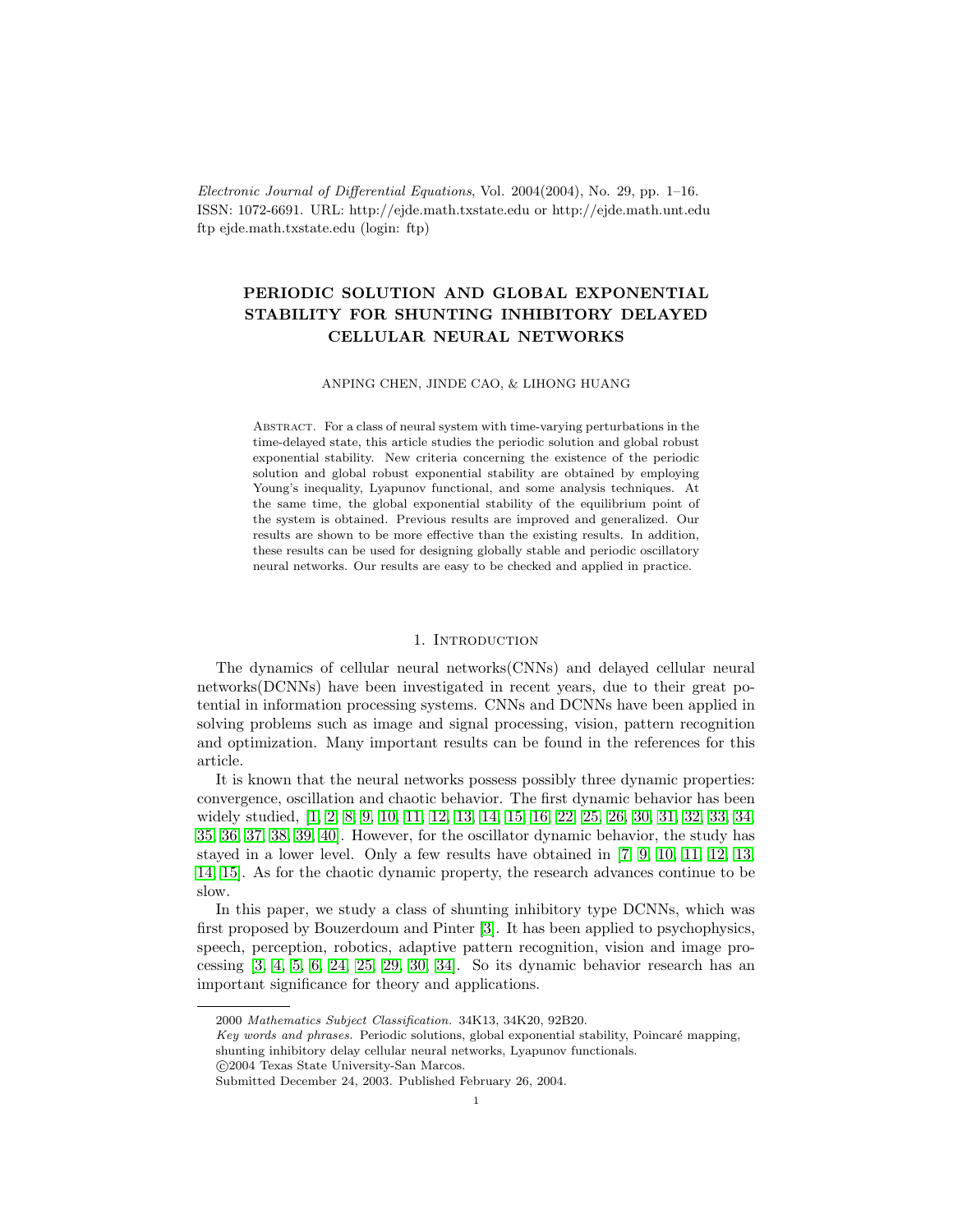Electronic Journal of Differential Equations, Vol. 2004(2004), No. 29, pp. 1–16. ISSN: 1072-6691. URL: http://ejde.math.txstate.edu or http://ejde.math.unt.edu ftp ejde.math.txstate.edu (login: ftp)

# PERIODIC SOLUTION AND GLOBAL EXPONENTIAL STABILITY FOR SHUNTING INHIBITORY DELAYED CELLULAR NEURAL NETWORKS

#### ANPING CHEN, JINDE CAO, & LIHONG HUANG

Abstract. For a class of neural system with time-varying perturbations in the time-delayed state, this article studies the periodic solution and global robust exponential stability. New criteria concerning the existence of the periodic solution and global robust exponential stability are obtained by employing Young's inequality, Lyapunov functional, and some analysis techniques. At the same time, the global exponential stability of the equilibrium point of the system is obtained. Previous results are improved and generalized. Our results are shown to be more effective than the existing results. In addition, these results can be used for designing globally stable and periodic oscillatory neural networks. Our results are easy to be checked and applied in practice.

### 1. INTRODUCTION

The dynamics of cellular neural networks(CNNs) and delayed cellular neural networks(DCNNs) have been investigated in recent years, due to their great potential in information processing systems. CNNs and DCNNs have been applied in solving problems such as image and signal processing, vision, pattern recognition and optimization. Many important results can be found in the references for this article.

It is known that the neural networks possess possibly three dynamic properties: convergence, oscillation and chaotic behavior. The first dynamic behavior has been widely studied, [\[1,](#page-13-0) [2,](#page-13-1) [8,](#page-13-2) [9,](#page-13-3) [10,](#page-13-4) [11,](#page-13-5) [12,](#page-13-6) [13,](#page-13-7) [14,](#page-13-8) [15,](#page-13-9) [16,](#page-13-10) [22,](#page-14-0) [25,](#page-14-1) [26,](#page-14-2) [30,](#page-14-3) [31,](#page-14-4) [32,](#page-14-5) [33,](#page-14-6) [34,](#page-14-7) [35,](#page-14-8) [36,](#page-14-9) [37,](#page-14-10) [38,](#page-14-11) [39,](#page-14-12) [40\]](#page-14-13). However, for the oscillator dynamic behavior, the study has stayed in a lower level. Only a few results have obtained in [\[7,](#page-13-11) [9,](#page-13-3) [10,](#page-13-4) [11,](#page-13-5) [12,](#page-13-6) [13,](#page-13-7) [14,](#page-13-8) [15\]](#page-13-9). As for the chaotic dynamic property, the research advances continue to be slow.

In this paper, we study a class of shunting inhibitory type DCNNs, which was first proposed by Bouzerdoum and Pinter [\[3\]](#page-13-12). It has been applied to psychophysics, speech, perception, robotics, adaptive pattern recognition, vision and image processing [\[3,](#page-13-12) [4,](#page-13-13) [5,](#page-13-14) [6,](#page-13-15) [24,](#page-14-14) [25,](#page-14-1) [29,](#page-14-15) [30,](#page-14-3) [34\]](#page-14-7). So its dynamic behavior research has an important significance for theory and applications.

<sup>2000</sup> Mathematics Subject Classification. 34K13, 34K20, 92B20.

Key words and phrases. Periodic solutions, global exponential stability, Poincaré mapping, shunting inhibitory delay cellular neural networks, Lyapunov functionals.

c 2004 Texas State University-San Marcos.

Submitted December 24, 2003. Published February 26, 2004.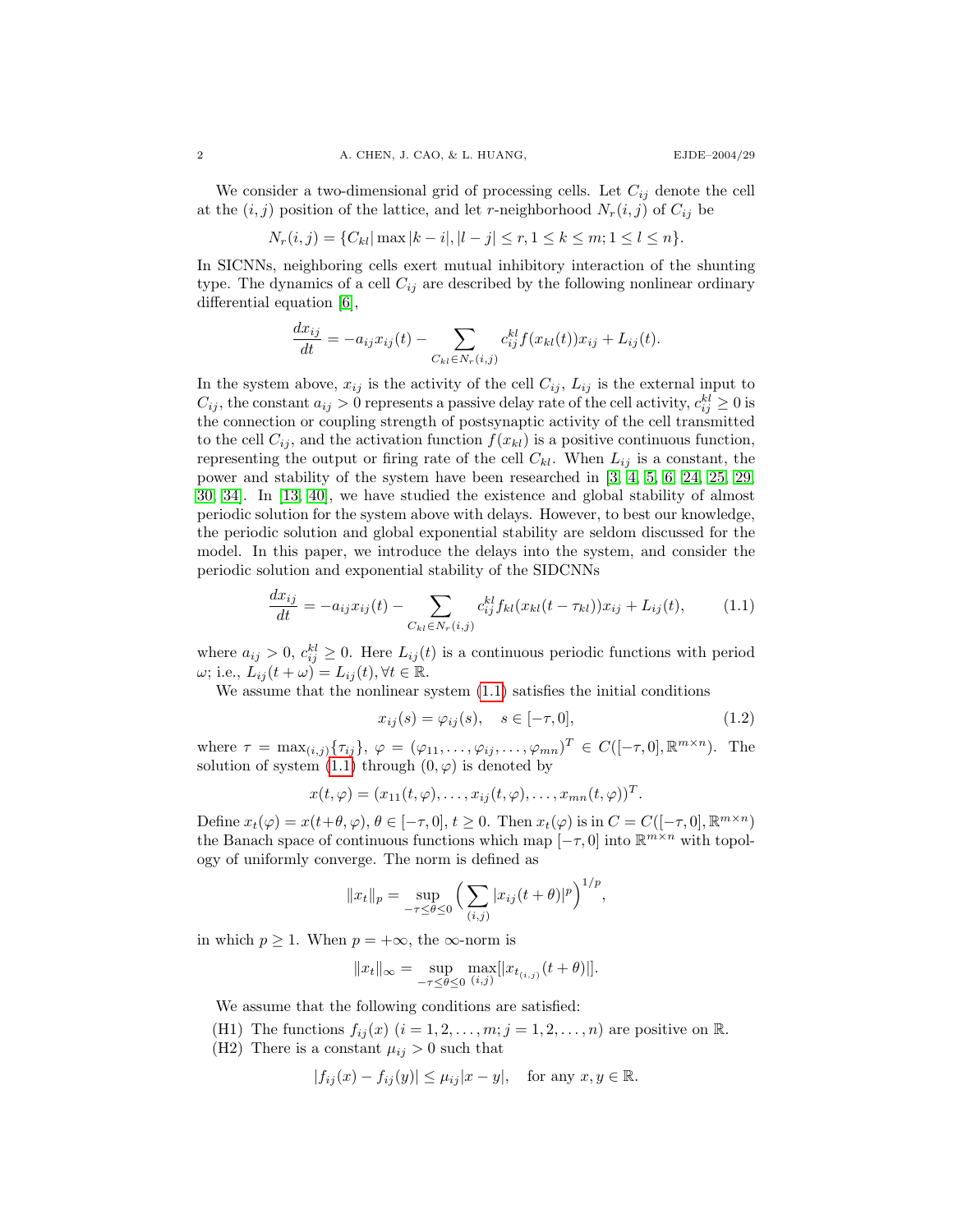We consider a two-dimensional grid of processing cells. Let  $C_{ij}$  denote the cell at the  $(i, j)$  position of the lattice, and let r-neighborhood  $N_r(i, j)$  of  $C_{ij}$  be

$$
N_r(i,j) = \{C_{kl} | \max |k - i|, |l - j| \le r, 1 \le k \le m; 1 \le l \le n\}.
$$

In SICNNs, neighboring cells exert mutual inhibitory interaction of the shunting type. The dynamics of a cell  $C_{ij}$  are described by the following nonlinear ordinary differential equation [\[6\]](#page-13-15),

$$
\frac{dx_{ij}}{dt} = -a_{ij}x_{ij}(t) - \sum_{C_{kl} \in N_r(i,j)} c_{ij}^{kl} f(x_{kl}(t))x_{ij} + L_{ij}(t).
$$

In the system above,  $x_{ij}$  is the activity of the cell  $C_{ij}$ ,  $L_{ij}$  is the external input to  $C_{ij}$ , the constant  $a_{ij} > 0$  represents a passive delay rate of the cell activity,  $c_{ij}^{kl} \geq 0$  is the connection or coupling strength of postsynaptic activity of the cell transmitted to the cell  $C_{ij}$ , and the activation function  $f(x_{kl})$  is a positive continuous function, representing the output or firing rate of the cell  $C_{kl}$ . When  $L_{ij}$  is a constant, the power and stability of the system have been researched in [\[3,](#page-13-12) [4,](#page-13-13) [5,](#page-13-14) [6,](#page-13-15) [24,](#page-14-14) [25,](#page-14-1) [29,](#page-14-15) [30,](#page-14-3) [34\]](#page-14-7). In [\[13,](#page-13-7) [40\]](#page-14-13), we have studied the existence and global stability of almost periodic solution for the system above with delays. However, to best our knowledge, the periodic solution and global exponential stability are seldom discussed for the model. In this paper, we introduce the delays into the system, and consider the periodic solution and exponential stability of the SIDCNNs

$$
\frac{dx_{ij}}{dt} = -a_{ij}x_{ij}(t) - \sum_{C_{kl} \in N_r(i,j)} c_{ij}^{kl} f_{kl}(x_{kl}(t - \tau_{kl}))x_{ij} + L_{ij}(t), \tag{1.1}
$$

where  $a_{ij} > 0$ ,  $c_{ij}^{kl} \geq 0$ . Here  $L_{ij}(t)$  is a continuous periodic functions with period  $\omega$ ; i.e.,  $\overline{L}_{ij}(t+\omega) = L_{ij}(t), \forall t \in \mathbb{R}$ .

We assume that the nonlinear system  $(1.1)$  satisfies the initial conditions

<span id="page-1-0"></span>
$$
x_{ij}(s) = \varphi_{ij}(s), \quad s \in [-\tau, 0], \tag{1.2}
$$

where  $\tau = \max_{(i,j)} {\{\tau_{ij}\}}, \varphi = (\varphi_{11}, \ldots, \varphi_{ij}, \ldots, \varphi_{mn})^T \in C([-\tau, 0], \mathbb{R}^{m \times n})$ . The solution of system  $(1.1)$  through  $(0, \varphi)$  is denoted by

$$
x(t,\varphi)=(x_{11}(t,\varphi),\ldots,x_{ij}(t,\varphi),\ldots,x_{mn}(t,\varphi))^T.
$$

Define  $x_t(\varphi) = x(t+\theta, \varphi), \theta \in [-\tau, 0], t \ge 0$ . Then  $x_t(\varphi)$  is in  $C = C([-\tau, 0], \mathbb{R}^{m \times n})$ the Banach space of continuous functions which map  $[-\tau, 0]$  into  $\mathbb{R}^{m \times n}$  with topology of uniformly converge. The norm is defined as

$$
||x_t||_p = \sup_{-\tau \leq \theta \leq 0} \left( \sum_{(i,j)} |x_{ij}(t + \theta)|^p \right)^{1/p},
$$

in which  $p \geq 1$ . When  $p = +\infty$ , the  $\infty$ -norm is

$$
||x_t||_{\infty} = \sup_{-\tau \leq \theta \leq 0} \max_{(i,j)} [|x_{t_{(i,j)}}(t + \theta)|].
$$

We assume that the following conditions are satisfied:

(H1) The functions  $f_{ij}(x)$   $(i = 1, 2, \ldots, m; j = 1, 2, \ldots, n)$  are positive on R.

(H2) There is a constant  $\mu_{ij} > 0$  such that

$$
|f_{ij}(x) - f_{ij}(y)| \le \mu_{ij}|x - y|, \text{ for any } x, y \in \mathbb{R}.
$$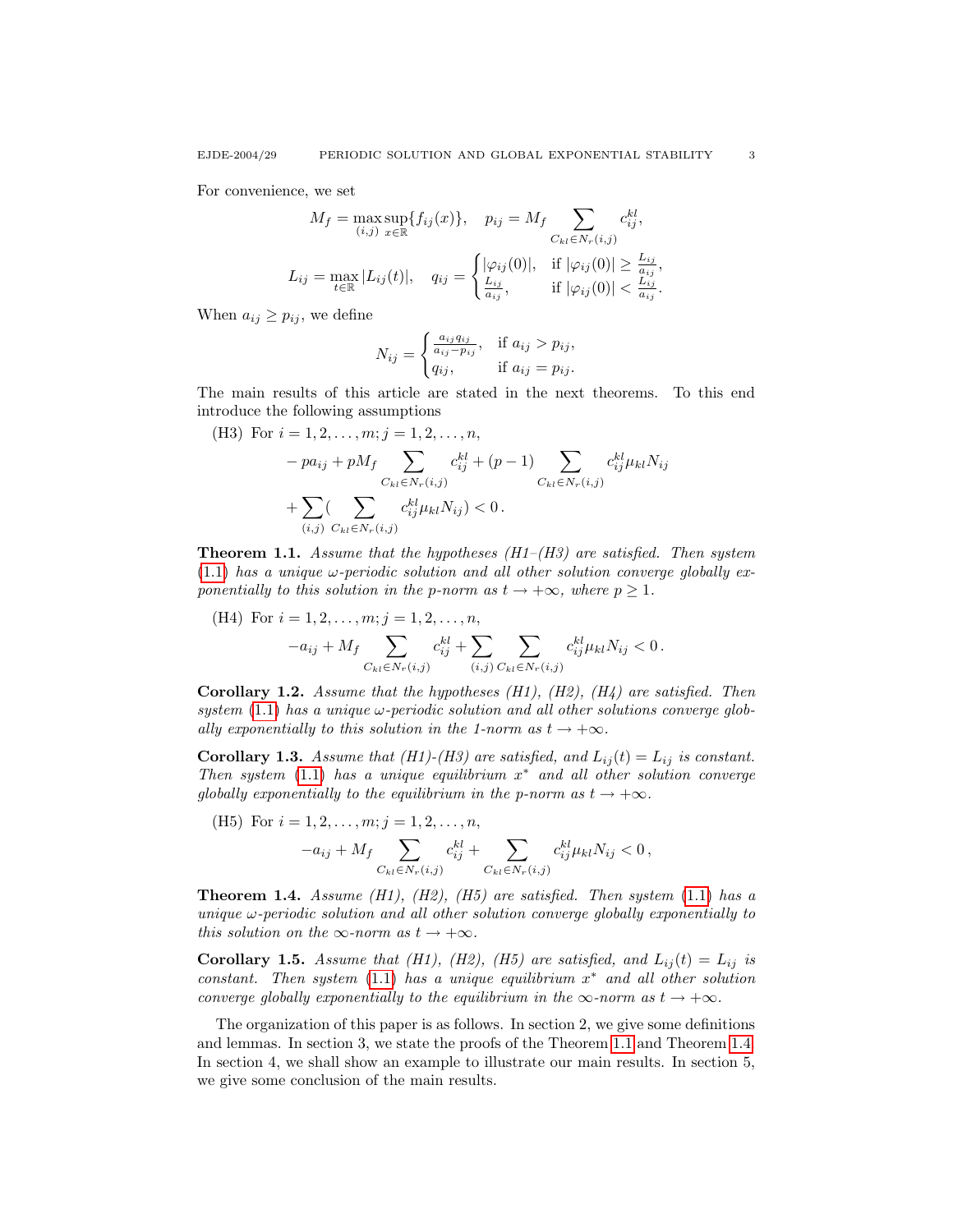For convenience, we set

$$
M_f = \max_{(i,j)} \sup_{x \in \mathbb{R}} \{ f_{ij}(x) \}, \quad p_{ij} = M_f \sum_{C_{kl} \in N_r(i,j)} c_{ij}^{kl},
$$
  

$$
L_{ij} = \max_{t \in \mathbb{R}} |L_{ij}(t)|, \quad q_{ij} = \begin{cases} |\varphi_{ij}(0)|, & \text{if } |\varphi_{ij}(0)| \ge \frac{L_{ij}}{a_{ij}}, \\ \frac{L_{ij}}{a_{ij}}, & \text{if } |\varphi_{ij}(0)| < \frac{L_{ij}}{a_{ij}}. \end{cases}
$$

When  $a_{ij} \geq p_{ij}$ , we define

$$
N_{ij} = \begin{cases} \frac{a_{ij}q_{ij}}{a_{ij} - p_{ij}}, & \text{if } a_{ij} > p_{ij}, \\ q_{ij}, & \text{if } a_{ij} = p_{ij}. \end{cases}
$$

The main results of this article are stated in the next theorems. To this end introduce the following assumptions

(H3) For 
$$
i = 1, 2, ..., m; j = 1, 2, ..., n
$$
,  
\n
$$
-pa_{ij} + pM_f \sum_{C_{kl} \in N_r(i,j)} c_{ij}^{kl} + (p-1) \sum_{C_{kl} \in N_r(i,j)} c_{ij}^{kl} \mu_{kl} N_{ij}
$$
\n
$$
+ \sum_{(i,j)} \sum_{C_{kl} \in N_r(i,j)} c_{ij}^{kl} \mu_{kl} N_{ij} > 0.
$$

<span id="page-2-0"></span>**Theorem 1.1.** Assume that the hypotheses  $(H1-(H3))$  are satisfied. Then system  $(1.1)$  has a unique  $\omega$ -periodic solution and all other solution converge globally exponentially to this solution in the p-norm as  $t \to +\infty$ , where  $p \geq 1$ .

(H4) For 
$$
i = 1, 2, ..., m; j = 1, 2, ..., n
$$
,  
\n
$$
-a_{ij} + M_f \sum_{C_{kl} \in N_r(i,j)} c_{ij}^{kl} + \sum_{(i,j)} \sum_{C_{kl} \in N_r(i,j)} c_{ij}^{kl} \mu_{kl} N_{ij} < 0.
$$

<span id="page-2-2"></span>**Corollary 1.2.** Assume that the hypotheses  $(H1)$ ,  $(H2)$ ,  $(H4)$  are satisfied. Then system  $(1.1)$  has a unique  $\omega$ -periodic solution and all other solutions converge globally exponentially to this solution in the 1-norm as  $t \rightarrow +\infty$ .

**Corollary 1.3.** Assume that (H1)-(H3) are satisfied, and  $L_{ij}(t) = L_{ij}$  is constant. Then system  $(1.1)$  has a unique equilibrium  $x^*$  and all other solution converge globally exponentially to the equilibrium in the p-norm as  $t \to +\infty$ .

(H5) For 
$$
i = 1, 2, ..., m; j = 1, 2, ..., n
$$
,  
\n
$$
-a_{ij} + M_f \sum_{C_{kl} \in N_r(i,j)} c_{ij}^{kl} + \sum_{C_{kl} \in N_r(i,j)} c_{ij}^{kl} \mu_{kl} N_{ij} < 0,
$$

<span id="page-2-1"></span>**Theorem 1.4.** Assume (H1), (H2), (H5) are satisfied. Then system  $(1.1)$  has a unique  $\omega$ -periodic solution and all other solution converge globally exponentially to this solution on the  $\infty$ -norm as  $t \to +\infty$ .

**Corollary 1.5.** Assume that (H1), (H2), (H5) are satisfied, and  $L_{ij}(t) = L_{ij}$  is  $constant.$  Then system  $(1.1)$  has a unique equilibrium  $x^*$  and all other solution converge globally exponentially to the equilibrium in the  $\infty$ -norm as  $t \to +\infty$ .

The organization of this paper is as follows. In section 2, we give some definitions and lemmas. In section 3, we state the proofs of the Theorem [1.1](#page-2-0) and Theorem [1.4.](#page-2-1) In section 4, we shall show an example to illustrate our main results. In section 5, we give some conclusion of the main results.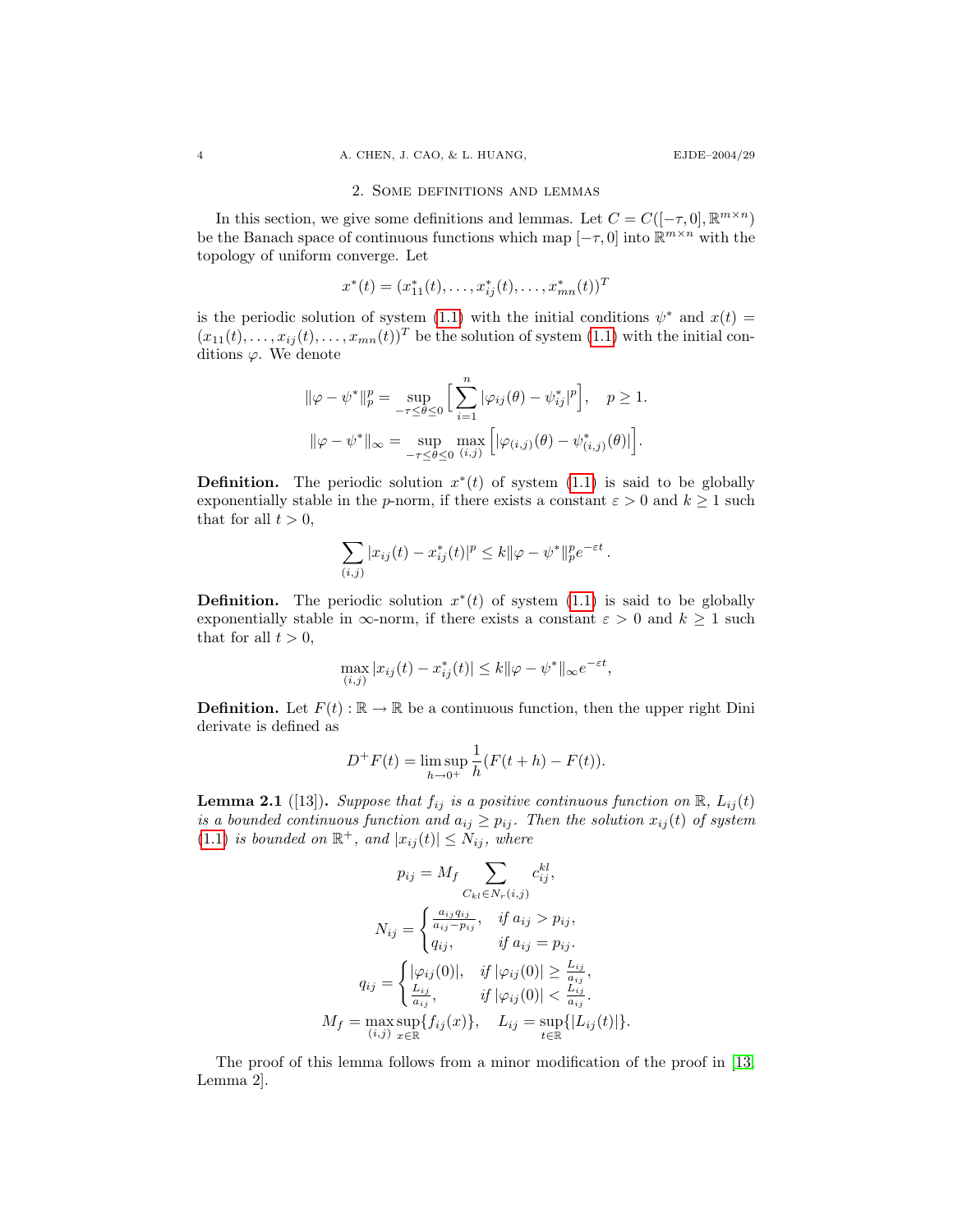### 2. Some definitions and lemmas

In this section, we give some definitions and lemmas. Let  $C = C([- \tau, 0], \mathbb{R}^{m \times n})$ be the Banach space of continuous functions which map  $[-\tau, 0]$  into  $\mathbb{R}^{m \times n}$  with the topology of uniform converge. Let

$$
x^*(t) = (x_{11}^*(t), \dots, x_{ij}^*(t), \dots, x_{mn}^*(t))^T
$$

is the periodic solution of system [\(1.1\)](#page-1-0) with the initial conditions  $\psi^*$  and  $x(t)$  $(x_{11}(t), \ldots, x_{ij}(t), \ldots, x_{mn}(t))^T$  be the solution of system  $(1.1)$  with the initial conditions  $\varphi$ . We denote

$$
\|\varphi - \psi^*\|_p^p = \sup_{-\tau \le \theta \le 0} \Big[ \sum_{i=1}^n |\varphi_{ij}(\theta) - \psi_{ij}^*|^p \Big], \quad p \ge 1.
$$
  

$$
\|\varphi - \psi^*\|_{\infty} = \sup_{-\tau \le \theta \le 0} \max_{(i,j)} \Big[ |\varphi_{(i,j)}(\theta) - \psi_{(i,j)}^*(\theta)| \Big].
$$

**Definition.** The periodic solution  $x^*(t)$  of system [\(1.1\)](#page-1-0) is said to be globally exponentially stable in the p-norm, if there exists a constant  $\varepsilon > 0$  and  $k \ge 1$  such that for all  $t > 0$ ,

$$
\sum_{(i,j)} |x_{ij}(t) - x_{ij}^*(t)|^p \le k \|\varphi - \psi^*\|_p^p e^{-\varepsilon t}.
$$

**Definition.** The periodic solution  $x^*(t)$  of system [\(1.1\)](#page-1-0) is said to be globally exponentially stable in  $\infty$ -norm, if there exists a constant  $\varepsilon > 0$  and  $k \ge 1$  such that for all  $t > 0$ ,

$$
\max_{(i,j)} |x_{ij}(t) - x_{ij}^*(t)| \le k \|\varphi - \psi^*\|_{\infty} e^{-\varepsilon t},
$$

**Definition.** Let  $F(t): \mathbb{R} \to \mathbb{R}$  be a continuous function, then the upper right Dini derivate is defined as

$$
D^{+}F(t) = \limsup_{h \to 0^{+}} \frac{1}{h}(F(t+h) - F(t)).
$$

**Lemma 2.1** ([13]). Suppose that  $f_{ij}$  is a positive continuous function on  $\mathbb{R}$ ,  $L_{ij}(t)$ is a bounded continuous function and  $a_{ij} \geq p_{ij}$ . Then the solution  $x_{ij}(t)$  of system [\(1.1\)](#page-1-0) is bounded on  $\mathbb{R}^+$ , and  $|x_{ij}(t)| \leq N_{ij}$ , where

$$
p_{ij} = M_f \sum_{C_{kl} \in N_r(i,j)} c_{ij}^{kl},
$$

$$
N_{ij} = \begin{cases} \frac{a_{ij}q_{ij}}{a_{ij} - p_{ij}}, & \text{if } a_{ij} > p_{ij}, \\ q_{ij}, & \text{if } a_{ij} = p_{ij}. \end{cases}
$$

$$
q_{ij} = \begin{cases} |\varphi_{ij}(0)|, & \text{if } |\varphi_{ij}(0)| \ge \frac{L_{ij}}{a_{ij}}, \\ \frac{L_{ij}}{a_{ij}}, & \text{if } |\varphi_{ij}(0)| < \frac{L_{ij}}{a_{ij}}. \end{cases}
$$

$$
M_f = \max_{(i,j)} \sup_{x \in \mathbb{R}} \{ f_{ij}(x) \}, \quad L_{ij} = \sup_{t \in \mathbb{R}} \{ |L_{ij}(t)| \}.
$$

The proof of this lemma follows from a minor modification of the proof in [\[13,](#page-13-7) Lemma 2].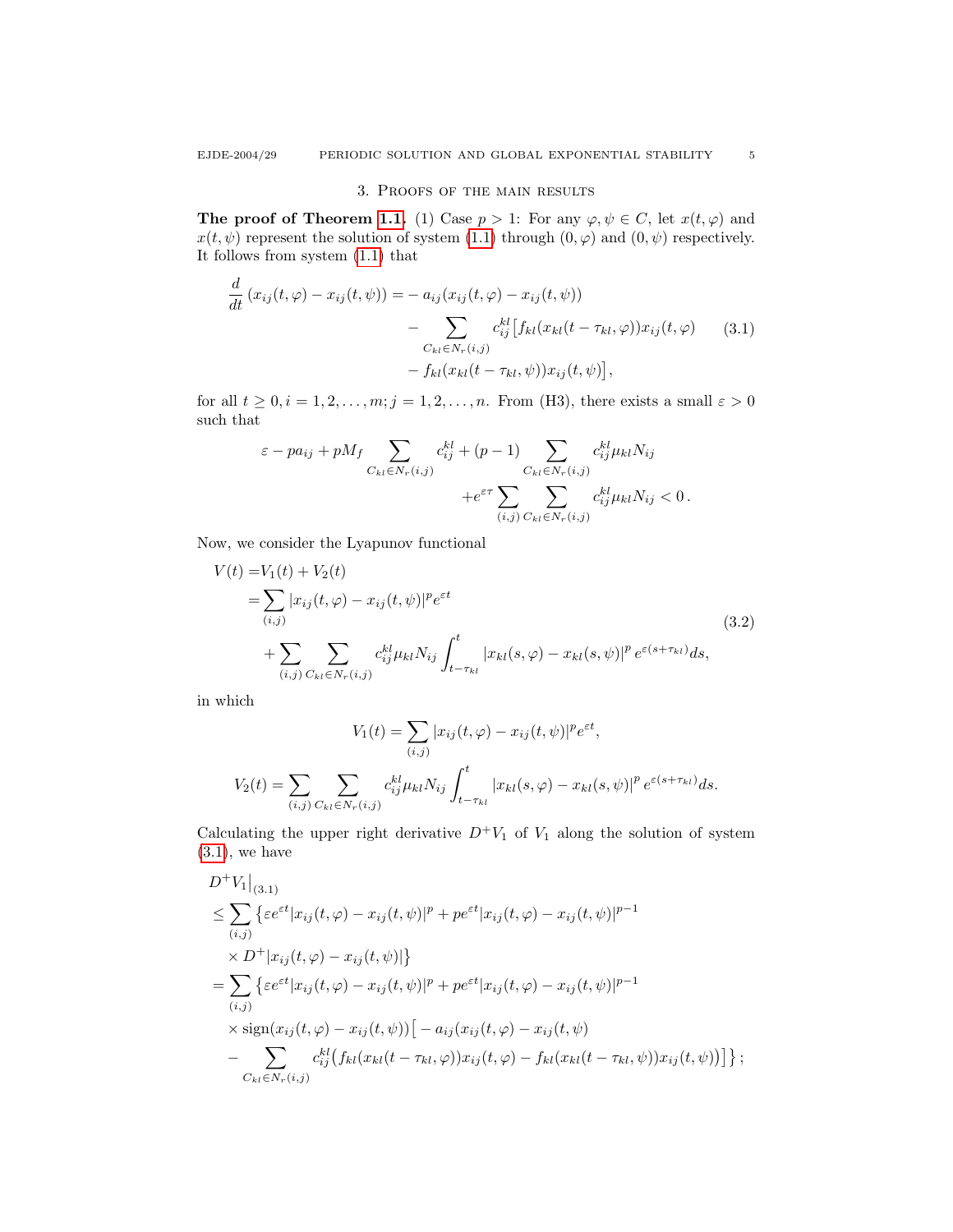## <span id="page-4-0"></span>3. Proofs of the main results

The proof of Theorem [1.1.](#page-2-0) (1) Case  $p > 1$ : For any  $\varphi, \psi \in C$ , let  $x(t, \varphi)$  and  $x(t, \psi)$  represent the solution of system [\(1.1\)](#page-1-0) through  $(0, \varphi)$  and  $(0, \psi)$  respectively. It follows from system [\(1.1\)](#page-1-0) that

$$
\frac{d}{dt} (x_{ij}(t,\varphi) - x_{ij}(t,\psi)) = -a_{ij}(x_{ij}(t,\varphi) - x_{ij}(t,\psi))
$$
\n
$$
- \sum_{C_{kl} \in N_r(i,j)} c_{ij}^{kl} [f_{kl}(x_{kl}(t - \tau_{kl}, \varphi))x_{ij}(t,\varphi) \qquad (3.1)
$$
\n
$$
- f_{kl}(x_{kl}(t - \tau_{kl}, \psi))x_{ij}(t,\psi)],
$$

for all  $t \geq 0, i = 1, 2, \ldots, m; j = 1, 2, \ldots, n$ . From (H3), there exists a small  $\varepsilon > 0$ such that

$$
\varepsilon - pa_{ij} + pM_f \sum_{C_{kl} \in N_r(i,j)} c_{ij}^{kl} + (p-1) \sum_{C_{kl} \in N_r(i,j)} c_{ij}^{kl} \mu_{kl} N_{ij} + e^{\varepsilon \tau} \sum_{(i,j)} \sum_{C_{kl} \in N_r(i,j)} c_{ij}^{kl} \mu_{kl} N_{ij} < 0.
$$

Now, we consider the Lyapunov functional

$$
V(t) = V_1(t) + V_2(t)
$$
  
=  $\sum_{(i,j)} |x_{ij}(t, \varphi) - x_{ij}(t, \psi)|^p e^{\varepsilon t}$   
+  $\sum_{(i,j)} \sum_{C_{kl} \in N_r(i,j)} c_{ij}^{kl} \mu_{kl} N_{ij} \int_{t-\tau_{kl}}^t |x_{kl}(s, \varphi) - x_{kl}(s, \psi)|^p e^{\varepsilon (s+\tau_{kl})} ds,$  (3.2)

in which

$$
V_1(t) = \sum_{(i,j)} |x_{ij}(t, \varphi) - x_{ij}(t, \psi)|^p e^{\varepsilon t},
$$
  

$$
V_2(t) = \sum_{(i,j)} \sum_{C_{kl} \in N_r(i,j)} c_{ij}^{kl} \mu_{kl} N_{ij} \int_{t-\tau_{kl}}^t |x_{kl}(s, \varphi) - x_{kl}(s, \psi)|^p e^{\varepsilon (s+\tau_{kl})} ds.
$$

Calculating the upper right derivative  $D^+V_1$  of  $V_1$  along the solution of system  $(3.1)$ , we have

$$
D^{+}V_{1}|_{(3.1)}
$$
\n
$$
\leq \sum_{(i,j)} \{ \varepsilon e^{\varepsilon t} |x_{ij}(t,\varphi) - x_{ij}(t,\psi)|^{p} + p e^{\varepsilon t} |x_{ij}(t,\varphi) - x_{ij}(t,\psi)|^{p-1} \times D^{+} |x_{ij}(t,\varphi) - x_{ij}(t,\psi)| \}
$$
\n
$$
= \sum_{(i,j)} \{ \varepsilon e^{\varepsilon t} |x_{ij}(t,\varphi) - x_{ij}(t,\psi)|^{p} + p e^{\varepsilon t} |x_{ij}(t,\varphi) - x_{ij}(t,\psi)|^{p-1} \times \text{sign}(x_{ij}(t,\varphi) - x_{ij}(t,\psi)) \} - \sum_{(i,j)} c_{ij}^{kl} (f_{kl}(x_{kl}(t - \tau_{kl},\varphi)) x_{ij}(t,\varphi) - f_{kl}(x_{kl}(t - \tau_{kl},\psi)) x_{ij}(t,\psi)) \} ;
$$
\n
$$
c_{kl} \in N_{r}(i,j)
$$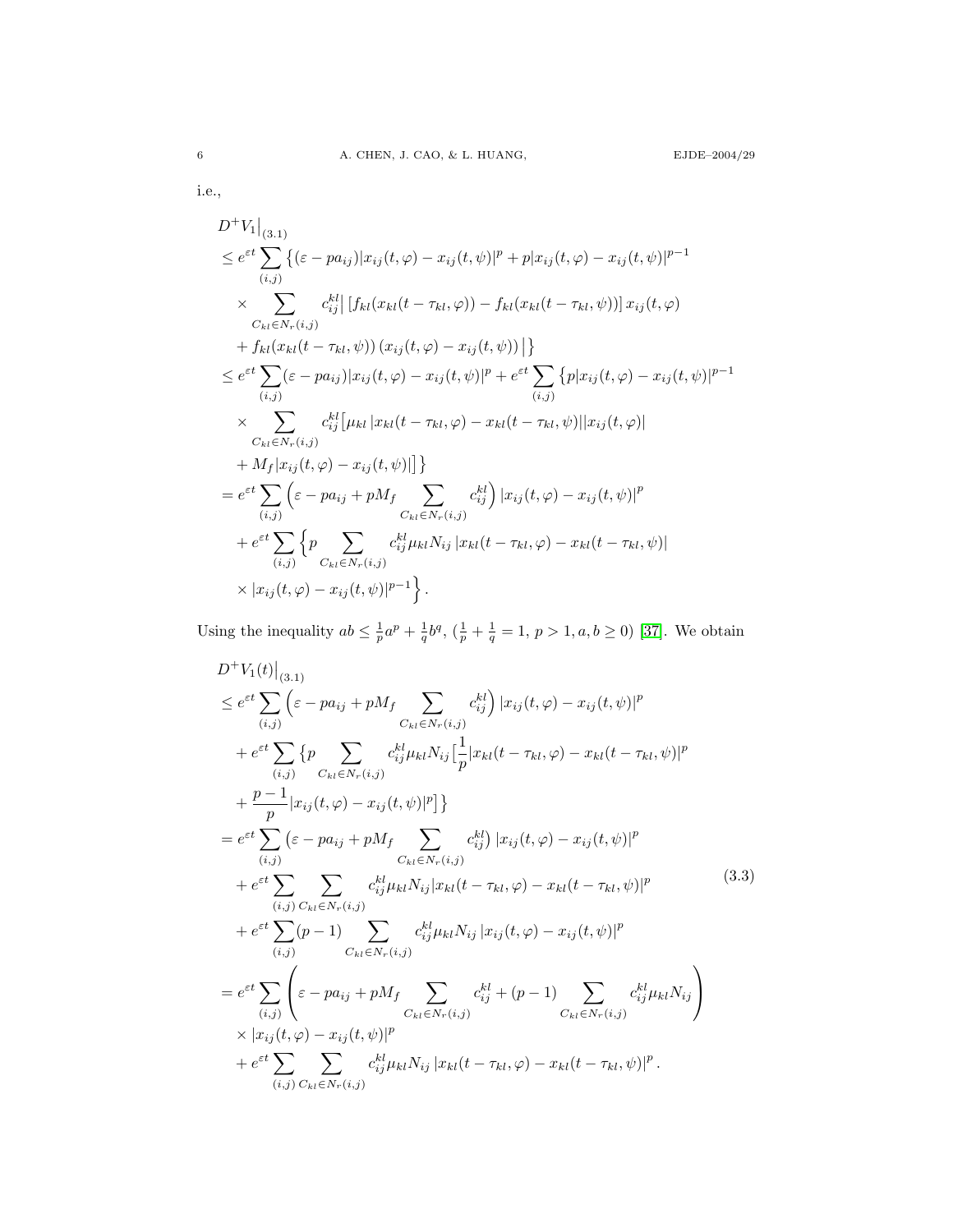i.e.,

$$
D^{+}V_{1}|_{(3.1)}\n\leq e^{\epsilon t}\sum_{(i,j)}\{(\epsilon - pa_{ij})|x_{ij}(t,\varphi) - x_{ij}(t,\psi)|^{p} + p|x_{ij}(t,\varphi) - x_{ij}(t,\psi)|^{p-1}\n\times \sum_{C_{kl}\in N_{r}(i,j)}c_{ij}^{kl}|[f_{kl}(x_{kl}(t - \tau_{kl},\varphi)) - f_{kl}(x_{kl}(t - \tau_{kl},\psi))]x_{ij}(t,\varphi)\n+ f_{kl}(x_{kl}(t - \tau_{kl},\psi)) (x_{ij}(t,\varphi) - x_{ij}(t,\psi))]\}\n\leq e^{\epsilon t}\sum_{(i,j)}(\epsilon - pa_{ij})|x_{ij}(t,\varphi) - x_{ij}(t,\psi)|^{p} + e^{\epsilon t}\sum_{(i,j)}\{p|x_{ij}(t,\varphi) - x_{ij}(t,\psi)|^{p-1}\n\times \sum_{C_{kl}\in N_{r}(i,j)}c_{ij}^{kl}[ \mu_{kl}|x_{kl}(t - \tau_{kl},\varphi) - x_{kl}(t - \tau_{kl},\psi)||x_{ij}(t,\varphi)|\n+ M_{f}|x_{ij}(t,\varphi) - x_{ij}(t,\psi)||\}\n= e^{\epsilon t}\sum_{(i,j)}\{\epsilon - pa_{ij} + pM_{f}\sum_{C_{kl}\in N_{r}(i,j)}c_{ij}^{kl}|x_{ij}(t,\varphi) - x_{ij}(t,\psi)|^{p}\n+ e^{\epsilon t}\sum_{(i,j)}\{p\sum_{C_{kl}\in N_{r}(i,j)}c_{ij}^{kl}\mu_{kl}N_{ij}|x_{kl}(t - \tau_{kl},\varphi) - x_{kl}(t - \tau_{kl},\psi)|\n\times |x_{ij}(t,\varphi) - x_{ij}(t,\psi)|^{p-1}\}.
$$

Using the inequality  $ab \leq \frac{1}{p}a^p + \frac{1}{q}b^q$ ,  $(\frac{1}{p} + \frac{1}{q} = 1, p > 1, a, b \geq 0)$  [\[37\]](#page-14-10). We obtain

<span id="page-5-0"></span>
$$
D^{+}V_{1}(t)|_{(3,1)}\n\leq e^{\varepsilon t}\sum_{(i,j)}\left(\varepsilon-pa_{ij}+pM_{f}\sum_{C_{kl}\in N_{r}(i,j)}c_{ij}^{kl}\right)|x_{ij}(t,\varphi)-x_{ij}(t,\psi)|^{p}\n+e^{\varepsilon t}\sum_{(i,j)}\left\{p\sum_{C_{kl}\in N_{r}(i,j)}c_{ij}^{kl}\mu_{kl}N_{ij}\left[\frac{1}{p}|x_{kl}(t-\tau_{kl},\varphi)-x_{kl}(t-\tau_{kl},\psi)|^{p}\n+\frac{p-1}{p}|x_{ij}(t,\varphi)-x_{ij}(t,\psi)|^{p}\right]\right\}\n= e^{\varepsilon t}\sum_{(i,j)}\left(\varepsilon-pa_{ij}+pM_{f}\sum_{C_{kl}\in N_{r}(i,j)}c_{ij}^{kl}\right)|x_{ij}(t,\varphi)-x_{ij}(t,\psi)|^{p}\n+e^{\varepsilon t}\sum_{(i,j)}\sum_{C_{kl}\in N_{r}(i,j)}c_{ij}^{kl}\mu_{kl}N_{ij}|x_{kl}(t-\tau_{kl},\varphi)-x_{kl}(t-\tau_{kl},\psi)|^{p}\n+e^{\varepsilon t}\sum_{(i,j)}(p-1)\sum_{C_{kl}\in N_{r}(i,j)}c_{ij}^{kl}\mu_{kl}N_{ij}|x_{ij}(t,\varphi)-x_{ij}(t,\psi)|^{p}\n= e^{\varepsilon t}\sum_{(i,j)}\left(\varepsilon-pa_{ij}+pM_{f}\sum_{C_{kl}\in N_{r}(i,j)}c_{ij}^{kl}+(p-1)\sum_{C_{kl}\in N_{r}(i,j)}c_{ij}^{kl}\mu_{kl}N_{ij}\right)\times|x_{ij}(t,\varphi)-x_{ij}(t,\psi)|^{p}\n+e^{\varepsilon t}\sum_{(i,j)}\sum_{C_{kl}\in N_{r}(i,j)}c_{ij}^{kl}\mu_{kl}N_{ij}|x_{kl}(t-\tau_{kl},\varphi)-x_{kl}(t-\tau_{kl},\psi)|^{p}.
$$
\n(3.3)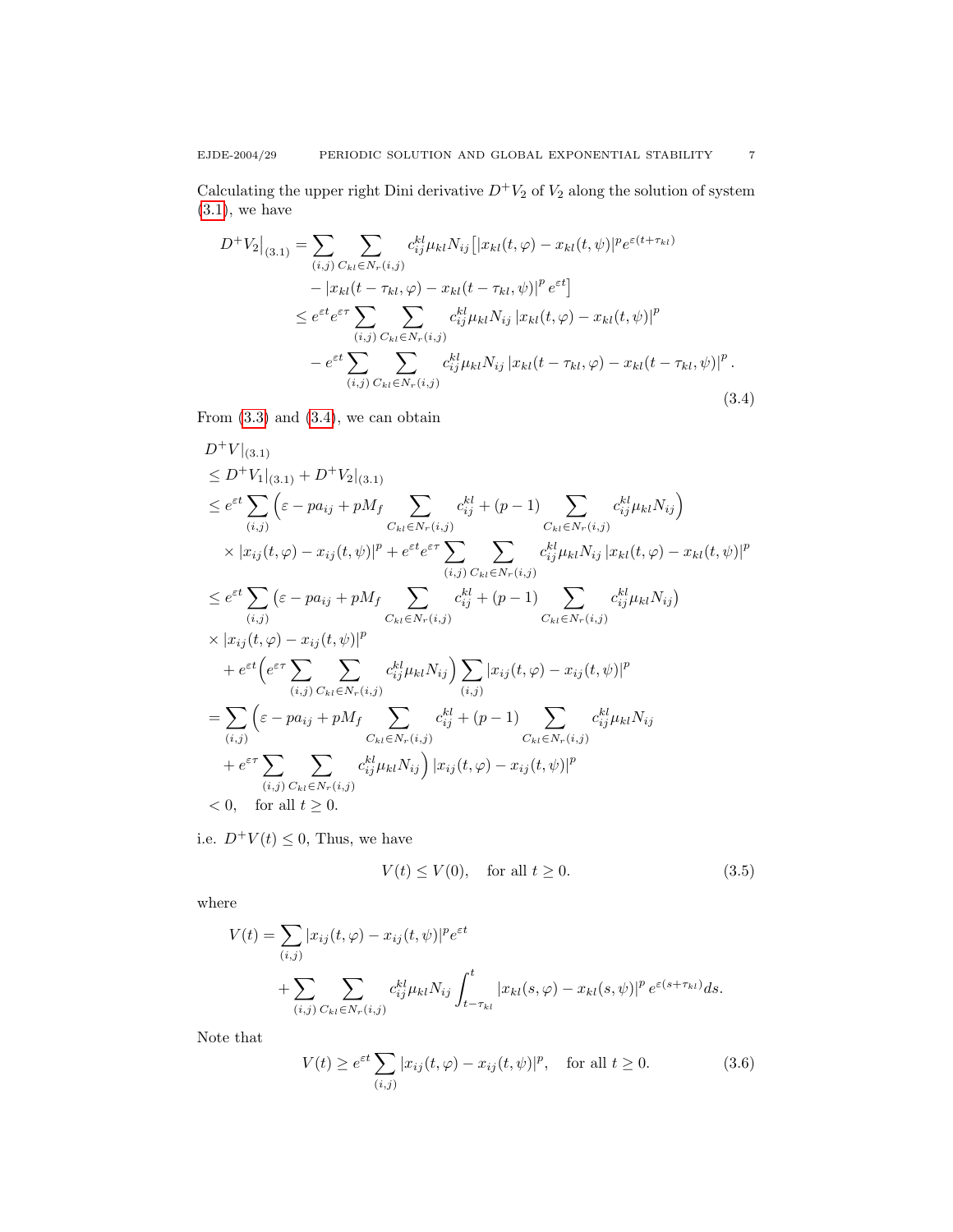Calculating the upper right Dini derivative  $D^+V_2$  of  $V_2$  along the solution of system  $(3.1)$ , we have

<span id="page-6-0"></span>
$$
D^{+}V_{2}\Big|_{(3,1)} = \sum_{(i,j)} \sum_{C_{kl} \in N_{r}(i,j)} c_{ij}^{kl} \mu_{kl} N_{ij} \Big[ |x_{kl}(t,\varphi) - x_{kl}(t,\psi)|^{p} e^{\varepsilon(t+\tau_{kl})} - |x_{kl}(t-\tau_{kl},\varphi) - x_{kl}(t-\tau_{kl},\psi)|^{p} e^{\varepsilon t} \Big] \leq e^{\varepsilon t} e^{\varepsilon \tau} \sum_{(i,j)} \sum_{C_{kl} \in N_{r}(i,j)} c_{ij}^{kl} \mu_{kl} N_{ij} |x_{kl}(t,\varphi) - x_{kl}(t,\psi)|^{p} - e^{\varepsilon t} \sum_{(i,j)} \sum_{C_{kl} \in N_{r}(i,j)} c_{ij}^{kl} \mu_{kl} N_{ij} |x_{kl}(t-\tau_{kl},\varphi) - x_{kl}(t-\tau_{kl},\psi)|^{p}.
$$
\n(3.4)

From  $(3.3)$  and  $(3.4)$ , we can obtain

$$
D^{+}V|_{(3,1)}\n\leq D^{+}V_{1}|_{(3,1)} + D^{+}V_{2}|_{(3,1)}\n\leq e^{\varepsilon t}\sum_{(i,j)}\left(\varepsilon - pa_{ij} + pM_{f}\sum_{C_{kl}\in N_{r}(i,j)}c_{ij}^{kl} + (p-1)\sum_{C_{kl}\in N_{r}(i,j)}c_{ij}^{kl}\mu_{kl}N_{ij}\right)\n\times |x_{ij}(t,\varphi) - x_{ij}(t,\psi)|^{p} + e^{\varepsilon t}e^{\varepsilon\tau}\sum_{(i,j)}\sum_{C_{kl}\in N_{r}(i,j)}c_{kl}^{kl}\mu_{kl}N_{ij}|x_{kl}(t,\varphi) - x_{kl}(t,\psi)|^{p}\n\leq e^{\varepsilon t}\sum_{(i,j)}\left(\varepsilon - pa_{ij} + pM_{f}\sum_{C_{kl}\in N_{r}(i,j)}c_{kl}^{kl} + (p-1)\sum_{C_{kl}\in N_{r}(i,j)}c_{ij}^{kl}\mu_{kl}N_{ij}\right)\n\times |x_{ij}(t,\varphi) - x_{ij}(t,\psi)|^{p}\n+ e^{\varepsilon t}\left(e^{\varepsilon\tau}\sum_{(i,j)}\sum_{C_{kl}\in N_{r}(i,j)}c_{ij}^{kl}\mu_{kl}N_{ij}\right)\sum_{(i,j)}|x_{ij}(t,\varphi) - x_{ij}(t,\psi)|^{p}\n= \sum_{(i,j)}\left(\varepsilon - pa_{ij} + pM_{f}\sum_{C_{kl}\in N_{r}(i,j)}c_{ij}^{kl} + (p-1)\sum_{C_{kl}\in N_{r}(i,j)}c_{kl}^{kl}\mu_{kl}N_{ij}\n+ e^{\varepsilon\tau}\sum_{(i,j)}\sum_{C_{kl}\in N_{r}(i,j)}c_{ij}^{kl}\mu_{kl}N_{ij}\right)|x_{ij}(t,\varphi) - x_{ij}(t,\psi)|^{p}\n
$$
< 0, \text{ for all } t \geq 0.
$$
$$

i.e.  $D^+V(t) \leq 0$ , Thus, we have

<span id="page-6-1"></span>
$$
V(t) \le V(0), \quad \text{for all } t \ge 0. \tag{3.5}
$$

where

$$
V(t) = \sum_{(i,j)} |x_{ij}(t,\varphi) - x_{ij}(t,\psi)|^p e^{\varepsilon t}
$$
  
+ 
$$
\sum_{(i,j)} \sum_{C_{kl} \in N_r(i,j)} c_{ij}^{kl} \mu_{kl} N_{ij} \int_{t-\tau_{kl}}^t |x_{kl}(s,\varphi) - x_{kl}(s,\psi)|^p e^{\varepsilon (s+\tau_{kl})} ds.
$$

Note that

$$
V(t) \ge e^{\varepsilon t} \sum_{(i,j)} |x_{ij}(t,\varphi) - x_{ij}(t,\psi)|^p, \quad \text{for all } t \ge 0.
$$
 (3.6)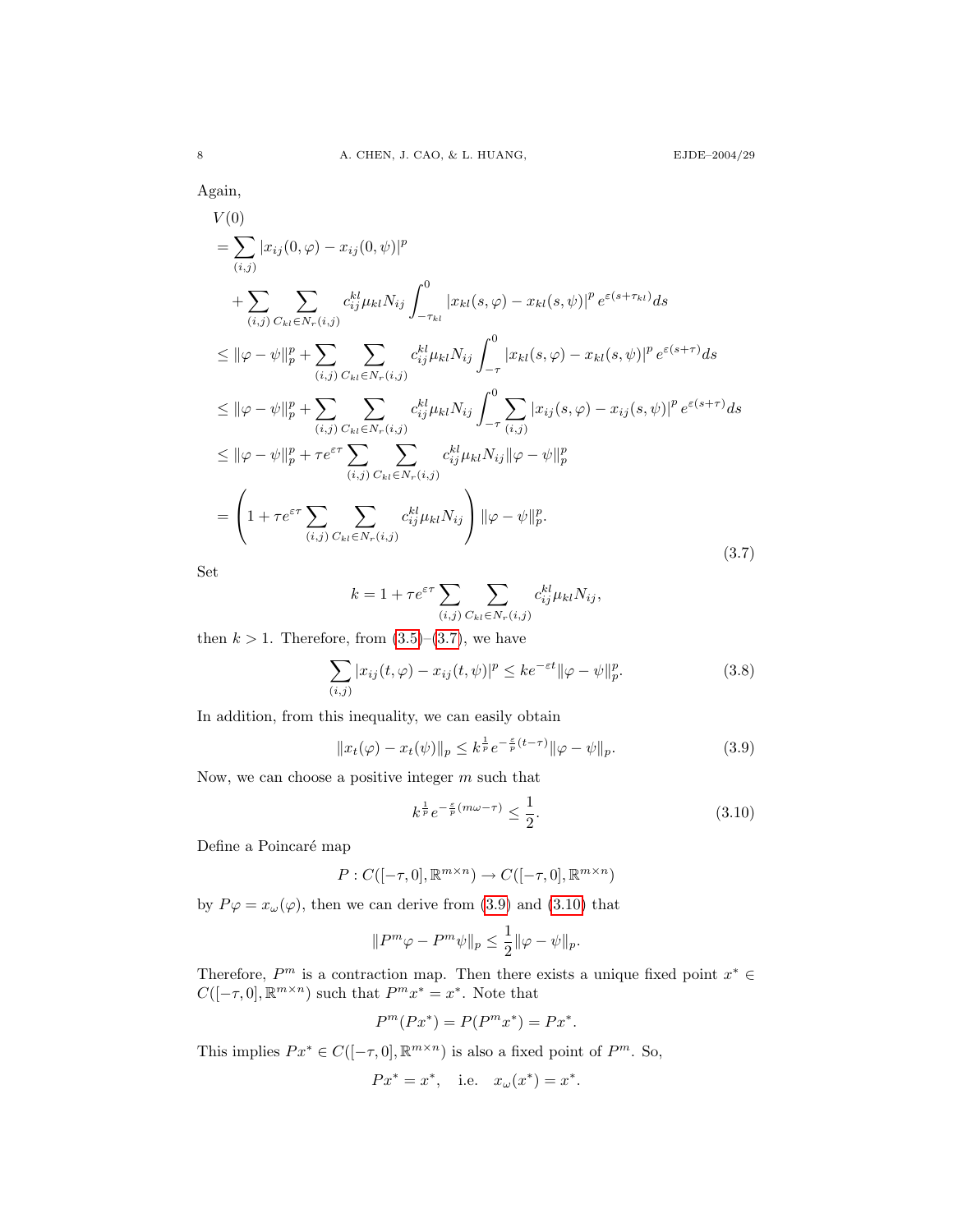# Again,

<span id="page-7-0"></span>
$$
V(0)
$$
  
\n
$$
= \sum_{(i,j)} |x_{ij}(0,\varphi) - x_{ij}(0,\psi)|^{p}
$$
  
\n
$$
+ \sum_{(i,j)} \sum_{C_{kl} \in N_{r}(i,j)} c_{ij}^{kl} \mu_{kl} N_{ij} \int_{-\tau_{kl}}^{0} |x_{kl}(s,\varphi) - x_{kl}(s,\psi)|^{p} e^{\varepsilon(s+\tau_{kl})} ds
$$
  
\n
$$
\leq ||\varphi - \psi||_{p}^{p} + \sum_{(i,j)} \sum_{C_{kl} \in N_{r}(i,j)} c_{ij}^{kl} \mu_{kl} N_{ij} \int_{-\tau}^{0} |x_{kl}(s,\varphi) - x_{kl}(s,\psi)|^{p} e^{\varepsilon(s+\tau)} ds
$$
  
\n
$$
\leq ||\varphi - \psi||_{p}^{p} + \sum_{(i,j)} \sum_{C_{kl} \in N_{r}(i,j)} c_{ij}^{kl} \mu_{kl} N_{ij} \int_{-\tau}^{0} \sum_{(i,j)} |x_{ij}(s,\varphi) - x_{ij}(s,\psi)|^{p} e^{\varepsilon(s+\tau)} ds
$$
  
\n
$$
\leq ||\varphi - \psi||_{p}^{p} + \tau e^{\varepsilon \tau} \sum_{(i,j)} \sum_{C_{kl} \in N_{r}(i,j)} c_{ij}^{kl} \mu_{kl} N_{ij} ||\varphi - \psi||_{p}^{p}
$$
  
\n
$$
= \left(1 + \tau e^{\varepsilon \tau} \sum_{(i,j)} \sum_{C_{kl} \in N_{r}(i,j)} c_{ij}^{kl} \mu_{kl} N_{ij} \right) ||\varphi - \psi||_{p}^{p}.
$$
  
\n(3.7)

Set

$$
k = 1 + \tau e^{\varepsilon \tau} \sum_{(i,j)} \sum_{C_{kl} \in N_r(i,j)} c_{ij}^{kl} \mu_{kl} N_{ij},
$$

then  $k > 1$ . Therefore, from  $(3.5)$ – $(3.7)$ , we have

$$
\sum_{(i,j)} |x_{ij}(t,\varphi) - x_{ij}(t,\psi)|^p \leq k e^{-\varepsilon t} ||\varphi - \psi||_p^p. \tag{3.8}
$$

In addition, from this inequality, we can easily obtain

$$
||x_t(\varphi) - x_t(\psi)||_p \le k^{\frac{1}{p}} e^{-\frac{\varepsilon}{p}(t-\tau)} ||\varphi - \psi||_p.
$$
 (3.9)

Now, we can choose a positive integer  $m$  such that

<span id="page-7-2"></span><span id="page-7-1"></span>
$$
k^{\frac{1}{p}}e^{-\frac{\varepsilon}{p}(m\omega-\tau)} \le \frac{1}{2}.\tag{3.10}
$$

Define a Poincaré map  $% \left( \mathcal{A}\right)$ 

$$
P: C([-\tau, 0], \mathbb{R}^{m \times n}) \to C([-\tau, 0], \mathbb{R}^{m \times n})
$$

by  $P\varphi = x_\omega(\varphi)$ , then we can derive from [\(3.9\)](#page-7-1) and [\(3.10\)](#page-7-2) that

$$
||P^m \varphi - P^m \psi||_p \le \frac{1}{2} ||\varphi - \psi||_p.
$$

Therefore,  $P^m$  is a contraction map. Then there exists a unique fixed point  $x^* \in$  $C([-\tau,0],\mathbb{R}^{m\times n})$  such that  $P^mx^* = x^*$ . Note that

$$
P^m(Px^*) = P(P^m x^*) = Px^*.
$$

This implies  $Px^* \in C([-\tau,0],\mathbb{R}^{m\times n})$  is also a fixed point of  $P^m$ . So,

$$
Px^* = x^*
$$
, i.e.  $x_\omega(x^*) = x^*$ .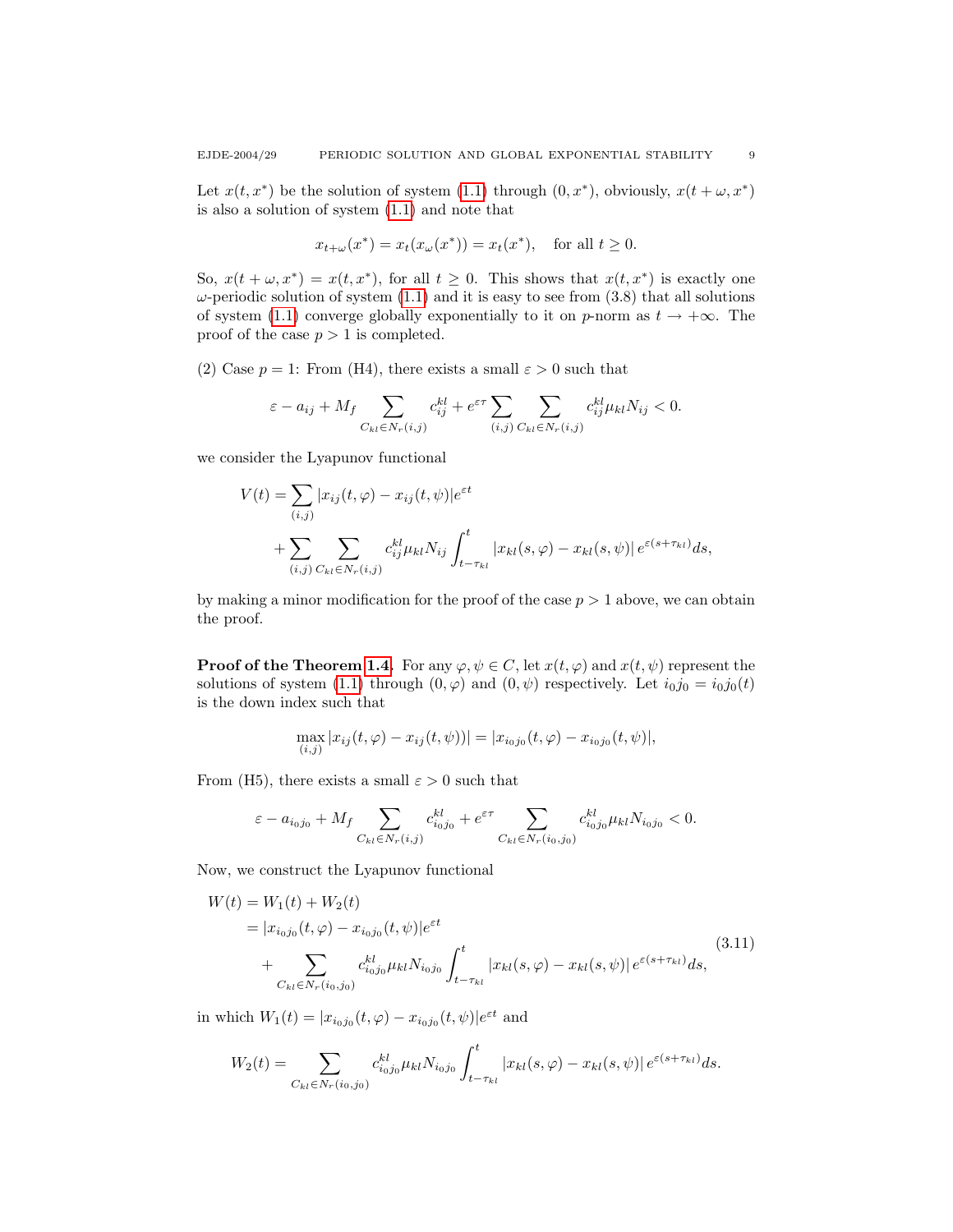Let  $x(t, x^*)$  be the solution of system [\(1.1\)](#page-1-0) through  $(0, x^*)$ , obviously,  $x(t + \omega, x^*)$ is also a solution of system [\(1.1\)](#page-1-0) and note that

$$
x_{t+\omega}(x^*) = x_t(x_{\omega}(x^*)) = x_t(x^*),
$$
 for all  $t \ge 0$ .

So,  $x(t + \omega, x^*) = x(t, x^*)$ , for all  $t \geq 0$ . This shows that  $x(t, x^*)$  is exactly one  $\omega$ -periodic solution of system [\(1.1\)](#page-1-0) and it is easy to see from (3.8) that all solutions of system [\(1.1\)](#page-1-0) converge globally exponentially to it on p-norm as  $t \to +\infty$ . The proof of the case  $p > 1$  is completed.

(2) Case  $p = 1$ : From (H4), there exists a small  $\varepsilon > 0$  such that

$$
\varepsilon - a_{ij} + M_f \sum_{C_{kl}\in N_r(i,j)} c_{ij}^{kl} + e^{\varepsilon\tau} \sum_{(i,j)} \sum_{C_{kl}\in N_r(i,j)} c_{ij}^{kl} \mu_{kl} N_{ij} < 0.
$$

we consider the Lyapunov functional

$$
V(t) = \sum_{(i,j)} |x_{ij}(t,\varphi) - x_{ij}(t,\psi)|e^{\varepsilon t}
$$
  
+ 
$$
\sum_{(i,j)} \sum_{C_{kl} \in N_r(i,j)} c_{ij}^{kl} \mu_{kl} N_{ij} \int_{t-\tau_{kl}}^t |x_{kl}(s,\varphi) - x_{kl}(s,\psi)| e^{\varepsilon (s+\tau_{kl})} ds,
$$

by making a minor modification for the proof of the case  $p > 1$  above, we can obtain the proof.

**Proof of the Theorem [1.4.](#page-2-1)** For any  $\varphi, \psi \in C$ , let  $x(t, \varphi)$  and  $x(t, \psi)$  represent the solutions of system [\(1.1\)](#page-1-0) through  $(0, \varphi)$  and  $(0, \psi)$  respectively. Let  $i_0 j_0 = i_0 j_0(t)$ is the down index such that

$$
\max_{(i,j)} |x_{ij}(t,\varphi) - x_{ij}(t,\psi))| = |x_{i_0j_0}(t,\varphi) - x_{i_0j_0}(t,\psi)|,
$$

From (H5), there exists a small  $\varepsilon > 0$  such that

$$
\varepsilon - a_{i_0 j_0} + M_f \sum_{C_{kl} \in N_r(i,j)} c_{i_0 j_0}^{kl} + e^{\varepsilon \tau} \sum_{C_{kl} \in N_r(i_0,j_0)} c_{i_0 j_0}^{kl} \mu_{kl} N_{i_0 j_0} < 0.
$$

Now, we construct the Lyapunov functional

$$
W(t) = W_1(t) + W_2(t)
$$
  
=  $|x_{i_0j_0}(t, \varphi) - x_{i_0j_0}(t, \psi)|e^{\varepsilon t}$   
+ 
$$
\sum_{C_{kl} \in N_r(i_0, j_0)} c_{i_0j_0}^{kl} \mu_{kl} N_{i_0j_0} \int_{t - \tau_{kl}}^t |x_{kl}(s, \varphi) - x_{kl}(s, \psi)| e^{\varepsilon (s + \tau_{kl})} ds,
$$
\n(3.11)

in which  $W_1(t) = |x_{i_0 j_0}(t, \varphi) - x_{i_0 j_0}(t, \psi)|e^{\varepsilon t}$  and

$$
W_2(t) = \sum_{C_{kl} \in N_r(i_0,j_0)} c_{i_0j_0}^{kl} \mu_{kl} N_{i_0j_0} \int_{t-\tau_{kl}}^t |x_{kl}(s,\varphi) - x_{kl}(s,\psi)| e^{\varepsilon (s+\tau_{kl})} ds.
$$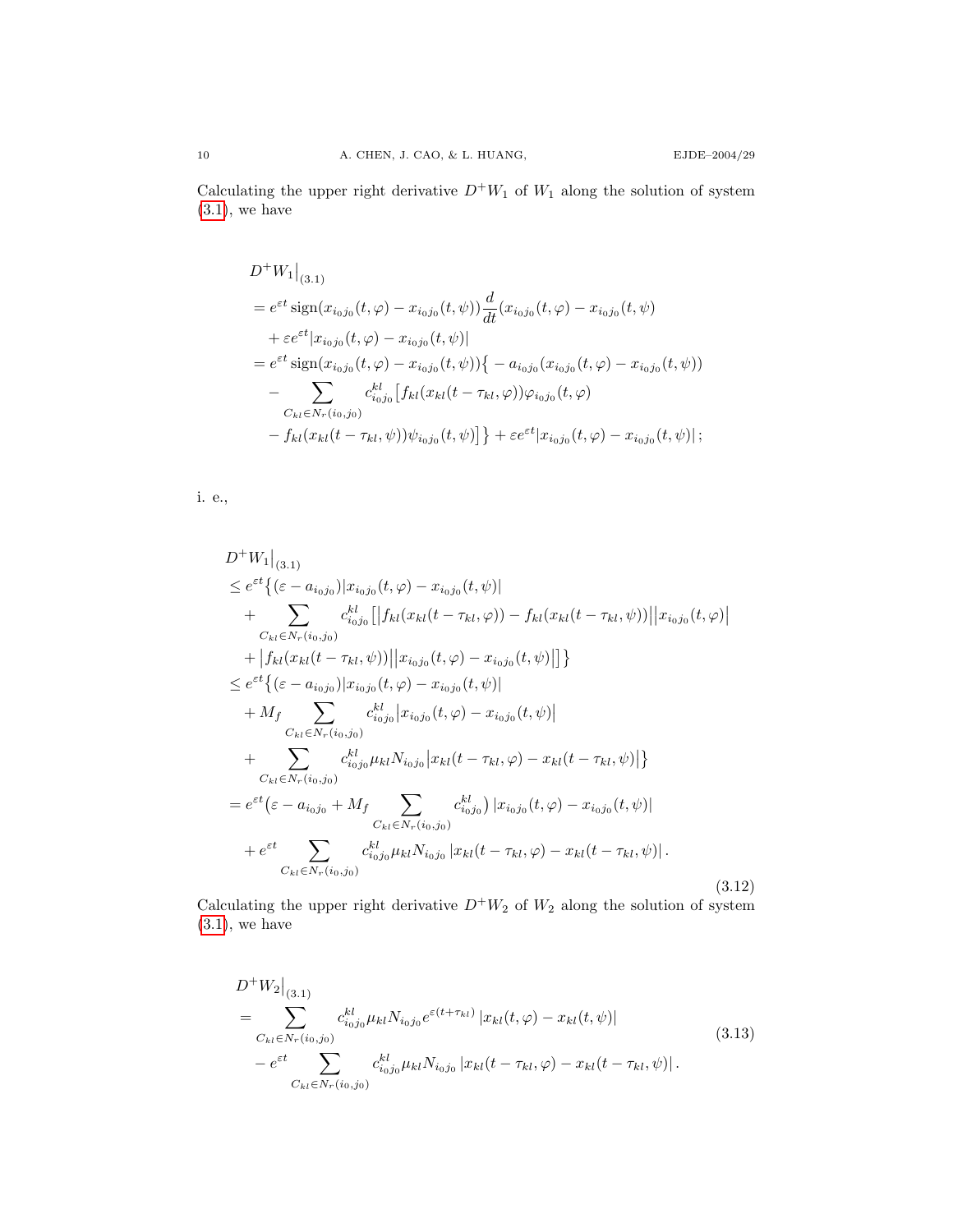Calculating the upper right derivative  $D^+W_1$  of  $W_1$  along the solution of system  $(3.1)$ , we have

$$
D^+W_1|_{(3.1)}
$$
  
=  $e^{\varepsilon t} \operatorname{sign}(x_{i_0j_0}(t,\varphi) - x_{i_0j_0}(t,\psi)) \frac{d}{dt}(x_{i_0j_0}(t,\varphi) - x_{i_0j_0}(t,\psi))$   
+  $\varepsilon e^{\varepsilon t}|x_{i_0j_0}(t,\varphi) - x_{i_0j_0}(t,\psi)|$   
=  $e^{\varepsilon t} \operatorname{sign}(x_{i_0j_0}(t,\varphi) - x_{i_0j_0}(t,\psi))\{-a_{i_0j_0}(x_{i_0j_0}(t,\varphi) - x_{i_0j_0}(t,\psi))\}$   
- 
$$
\sum_{C_{kl}\in N_r(i_0,j_0)} c_{i_0j_0}^{kl}[f_{kl}(x_{kl}(t-\tau_{kl},\varphi))\varphi_{i_0j_0}(t,\varphi) - x_{i_0j_0}(t,\psi)] + \varepsilon e^{\varepsilon t}|x_{i_0j_0}(t,\varphi) - x_{i_0j_0}(t,\psi)|;
$$

<span id="page-9-0"></span>i. e.,

$$
D^{+}W_{1}|_{(3.1)}
$$
\n
$$
\leq e^{\epsilon t}\{(\epsilon - a_{i_{0}j_{0}})|x_{i_{0}j_{0}}(t,\varphi) - x_{i_{0}j_{0}}(t,\psi)| + \sum_{C_{kl}\in N_{r}(i_{0},j_{0})} c_{i_{0}j_{0}}^{kl}|f_{kl}(x_{kl}(t-\tau_{kl},\varphi)) - f_{kl}(x_{kl}(t-\tau_{kl},\psi))||x_{i_{0}j_{0}}(t,\varphi)| + |f_{kl}(x_{kl}(t-\tau_{kl},\psi))||x_{i_{0}j_{0}}(t,\varphi) - x_{i_{0}j_{0}}(t,\psi)|| \}
$$
\n
$$
\leq e^{\epsilon t}\{(\epsilon - a_{i_{0}j_{0}})|x_{i_{0}j_{0}}(t,\varphi) - x_{i_{0}j_{0}}(t,\psi)| + M_{f} \sum_{C_{kl}\in N_{r}(i_{0},j_{0})} c_{i_{0}j_{0}}^{kl}|x_{i_{0}j_{0}}(t,\varphi) - x_{i_{0}j_{0}}(t,\psi)| + \sum_{C_{kl}\in N_{r}(i_{0},j_{0})} c_{i_{0}j_{0}}^{kl}|x_{i_{0}j_{0}}|x_{kl}(t-\tau_{kl},\varphi) - x_{kl}(t-\tau_{kl},\psi)| \}
$$
\n
$$
= e^{\epsilon t}(\epsilon - a_{i_{0}j_{0}} + M_{f} \sum_{C_{kl}\in N_{r}(i_{0},j_{0})} c_{i_{0}j_{0}}^{kl}|x_{i_{0}j_{0}}(t,\varphi) - x_{i_{0}j_{0}}(t,\psi)| + e^{\epsilon t} \sum_{C_{kl}\in N_{r}(i_{0},j_{0})} c_{i_{0}j_{0}}^{kl}|x_{kl}(t-\tau_{kl},\varphi) - x_{kl}(t-\tau_{kl},\psi)|.
$$
\n(3.12)

Calculating the upper right derivative  $D^+W_2$  of  $W_2$  along the solution of system  $(3.1)$ , we have

<span id="page-9-1"></span>
$$
D^{+}W_{2}|_{(3.1)}
$$
\n
$$
= \sum_{C_{kl} \in N_{r}(i_{0},j_{0})} c_{i_{0}j_{0}}^{kl} \mu_{kl} N_{i_{0}j_{0}} e^{\varepsilon(t+\tau_{kl})} |x_{kl}(t,\varphi) - x_{kl}(t,\psi)|
$$
\n
$$
- e^{\varepsilon t} \sum_{C_{kl} \in N_{r}(i_{0},j_{0})} c_{i_{0}j_{0}}^{kl} \mu_{kl} N_{i_{0}j_{0}} |x_{kl}(t-\tau_{kl},\varphi) - x_{kl}(t-\tau_{kl},\psi)|.
$$
\n(3.13)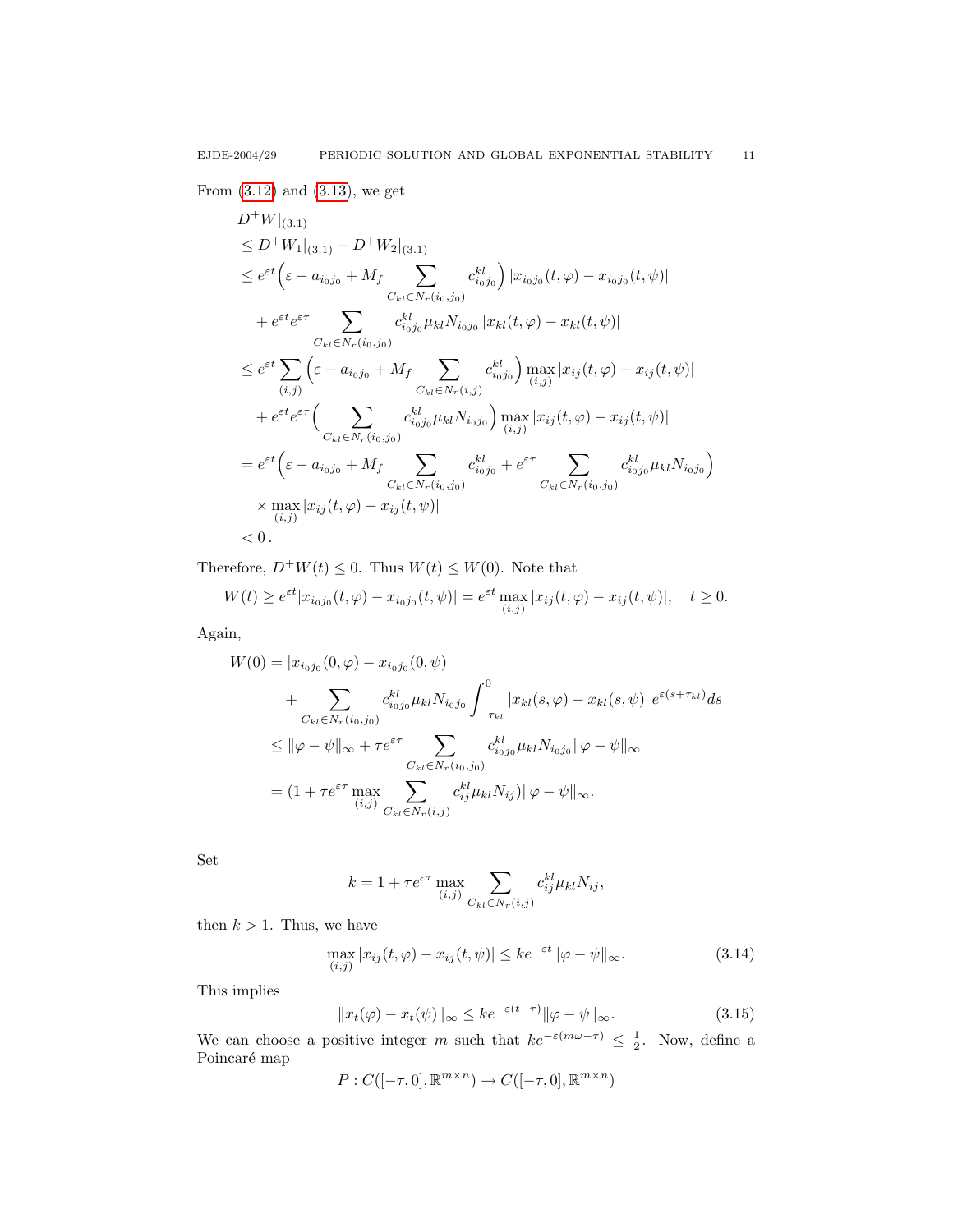From [\(3.12\)](#page-9-0) and [\(3.13\)](#page-9-1), we get

$$
D^{+}W|_{(3,1)}\n\leq D^{+}W_{1}|_{(3,1)} + D^{+}W_{2}|_{(3,1)}\n\leq e^{\varepsilon t} \Big(\varepsilon - a_{i_0j_0} + M_f \sum_{C_{kl} \in N_r(i_0,j_0)} c_{i_0j_0}^{kl}\Big) |x_{i_0j_0}(t,\varphi) - x_{i_0j_0}(t,\psi)|\n+ e^{\varepsilon t} e^{\varepsilon \tau} \sum_{C_{kl} \in N_r(i_0,j_0)} c_{i_0j_0}^{kl} \mu_{kl} N_{i_0j_0} |x_{kl}(t,\varphi) - x_{kl}(t,\psi)|\n\leq e^{\varepsilon t} \sum_{(i,j)} \Big(\varepsilon - a_{i_0j_0} + M_f \sum_{C_{kl} \in N_r(i,j)} c_{i_0j_0}^{kl}\Big) \max_{(i,j)} |x_{ij}(t,\varphi) - x_{ij}(t,\psi)|\n+ e^{\varepsilon t} e^{\varepsilon \tau} \Big(\sum_{C_{kl} \in N_r(i_0,j_0)} c_{i_0j_0}^{kl} \mu_{kl} N_{i_0j_0}\Big) \max_{(i,j)} |x_{ij}(t,\varphi) - x_{ij}(t,\psi)|\n= e^{\varepsilon t} \Big(\varepsilon - a_{i_0j_0} + M_f \sum_{C_{kl} \in N_r(i_0,j_0)} c_{i_0j_0}^{kl} + e^{\varepsilon \tau} \sum_{C_{kl} \in N_r(i_0,j_0)} c_{i_0j_0}^{kl} \mu_{kl} N_{i_0j_0}\Big)\times \max_{(i,j)} |x_{ij}(t,\varphi) - x_{ij}(t,\psi)|\n< 0.
$$

Therefore,  $D^+W(t) \leq 0$ . Thus  $W(t) \leq W(0)$ . Note that

$$
W(t) \ge e^{\varepsilon t} |x_{i_0 j_0}(t, \varphi) - x_{i_0 j_0}(t, \psi)| = e^{\varepsilon t} \max_{(i,j)} |x_{i j}(t, \varphi) - x_{i j}(t, \psi)|, \quad t \ge 0.
$$

Again,

$$
W(0) = |x_{i_0j_0}(0, \varphi) - x_{i_0j_0}(0, \psi)|
$$
  
+ 
$$
\sum_{C_{kl} \in N_r(i_0, j_0)} c_{i_0j_0}^{kl} \mu_{kl} N_{i_0j_0} \int_{-\tau_{kl}}^0 |x_{kl}(s, \varphi) - x_{kl}(s, \psi)| e^{\varepsilon (s + \tau_{kl})} ds
$$
  

$$
\leq ||\varphi - \psi||_{\infty} + \tau e^{\varepsilon \tau} \sum_{\substack{C_{kl} \in N_r(i_0, j_0) \\ (i, j)}} c_{kl}^{kl} \mu_{kl} N_{i_0j_0} ||\varphi - \psi||_{\infty}
$$
  
= 
$$
(1 + \tau e^{\varepsilon \tau} \max_{(i, j)} \sum_{C_{kl} \in N_r(i, j)} c_{ij}^{kl} \mu_{kl} N_{ij} ||\varphi - \psi||_{\infty}.
$$

Set

<span id="page-10-1"></span>
$$
k = 1 + \tau e^{\varepsilon \tau} \max_{(i,j)} \sum_{C_{kl} \in N_r(i,j)} c_{ij}^{kl} \mu_{kl} N_{ij},
$$

then  $k > 1$ . Thus, we have

<span id="page-10-0"></span>
$$
\max_{(i,j)} |x_{ij}(t,\varphi) - x_{ij}(t,\psi)| \leq ke^{-\varepsilon t} \|\varphi - \psi\|_{\infty}.
$$
\n(3.14)

This implies

$$
||x_t(\varphi) - x_t(\psi)||_{\infty} \le ke^{-\varepsilon(t-\tau)} ||\varphi - \psi||_{\infty}.
$$
\n(3.15)

We can choose a positive integer m such that  $ke^{-\varepsilon(m\omega-\tau)} \leq \frac{1}{2}$ . Now, define a Poincaré map

$$
P: C([-\tau, 0], \mathbb{R}^{m \times n}) \to C([-\tau, 0], \mathbb{R}^{m \times n})
$$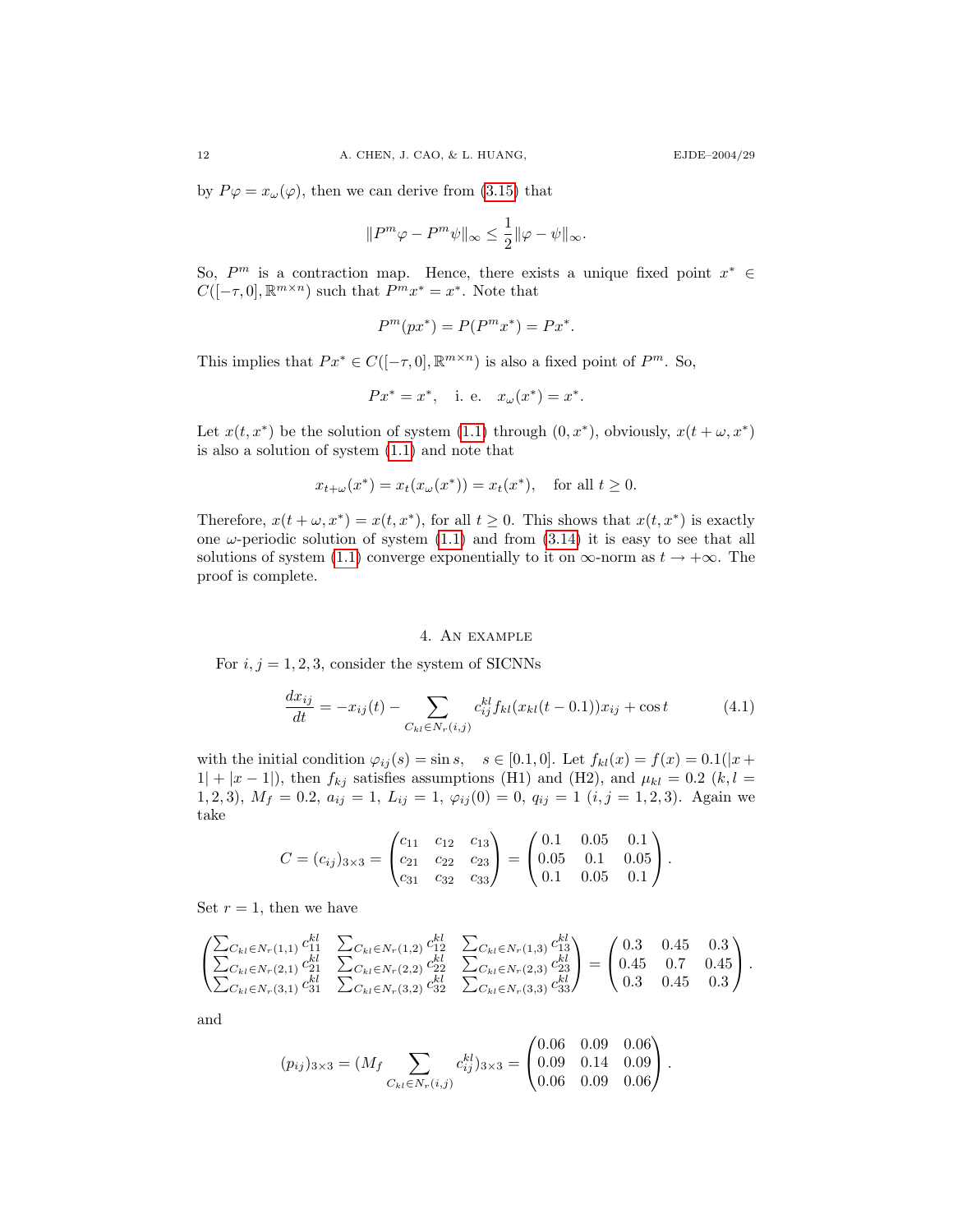by  $P\varphi = x_\omega(\varphi)$ , then we can derive from [\(3.15\)](#page-10-0) that

$$
\|P^m\varphi-P^m\psi\|_\infty\leq \frac{1}{2}\|\varphi-\psi\|_\infty.
$$

So,  $P^m$  is a contraction map. Hence, there exists a unique fixed point  $x^* \in$  $C([-\tau,0],\mathbb{R}^{m\times n})$  such that  $P^mx^* = x^*$ . Note that

$$
P^m(px^*) = P(P^m x^*) = Px^*.
$$

This implies that  $Px^* \in C([-\tau, 0], \mathbb{R}^{m \times n})$  is also a fixed point of  $P^m$ . So,

$$
Px^* = x^*, \quad \text{i. e.} \quad x_\omega(x^*) = x^*.
$$

Let  $x(t, x^*)$  be the solution of system [\(1.1\)](#page-1-0) through  $(0, x^*)$ , obviously,  $x(t + \omega, x^*)$ is also a solution of system [\(1.1\)](#page-1-0) and note that

$$
x_{t+\omega}(x^*) = x_t(x_{\omega}(x^*)) = x_t(x^*),
$$
 for all  $t \ge 0$ .

Therefore,  $x(t + \omega, x^*) = x(t, x^*)$ , for all  $t \geq 0$ . This shows that  $x(t, x^*)$  is exactly one  $\omega$ -periodic solution of system  $(1.1)$  and from  $(3.14)$  it is easy to see that all solutions of system [\(1.1\)](#page-1-0) converge exponentially to it on  $\infty$ -norm as  $t \to +\infty$ . The proof is complete.

### <span id="page-11-0"></span>4. An example

For  $i, j = 1, 2, 3$ , consider the system of SICNNs

$$
\frac{dx_{ij}}{dt} = -x_{ij}(t) - \sum_{C_{kl} \in N_r(i,j)} c_{ij}^{kl} f_{kl}(x_{kl}(t-0.1))x_{ij} + \cos t
$$
\n(4.1)

with the initial condition  $\varphi_{ij}(s) = \sin s$ ,  $s \in [0.1, 0]$ . Let  $f_{kl}(x) = f(x) = 0.1(|x +$  $1| + |x - 1|$ , then  $f_{kj}$  satisfies assumptions (H1) and (H2), and  $\mu_{kl} = 0.2$  (k, l = 1, 2, 3),  $M_f = 0.2$ ,  $a_{ij} = 1$ ,  $L_{ij} = 1$ ,  $\varphi_{ij}(0) = 0$ ,  $q_{ij} = 1$   $(i, j = 1, 2, 3)$ . Again we take

$$
C = (c_{ij})_{3 \times 3} = \begin{pmatrix} c_{11} & c_{12} & c_{13} \\ c_{21} & c_{22} & c_{23} \\ c_{31} & c_{32} & c_{33} \end{pmatrix} = \begin{pmatrix} 0.1 & 0.05 & 0.1 \\ 0.05 & 0.1 & 0.05 \\ 0.1 & 0.05 & 0.1 \end{pmatrix}.
$$

Set  $r = 1$ , then we have

$$
\begin{pmatrix}\n\sum_{C_{kl}\in N_r(1,1)} c_{11}^{kl} & \sum_{C_{kl}\in N_r(1,2)} c_{12}^{kl} & \sum_{C_{kl}\in N_r(1,3)} c_{13}^{kl} \\
\sum_{C_{kl}\in N_r(2,1)} c_{21}^{kl} & \sum_{C_{kl}\in N_r(2,2)} c_{22}^{kl} & \sum_{C_{kl}\in N_r(2,3)} c_{23}^{kl} \\
\sum_{C_{kl}\in N_r(3,1)} c_{31}^{kl} & \sum_{C_{kl}\in N_r(3,2)} c_{32}^{kl} & \sum_{C_{kl}\in N_r(3,3)} c_{33}^{kl}\n\end{pmatrix} = \begin{pmatrix}\n0.3 & 0.45 & 0.3 \\
0.3 & 0.45 & 0.3 \\
0.3 & 0.45 & 0.3\n\end{pmatrix}.
$$

and

$$
(p_{ij})_{3\times 3} = (M_f \sum_{C_{kl} \in N_r(i,j)} c_{ij}^{kl})_{3\times 3} = \begin{pmatrix} 0.06 & 0.09 & 0.06 \\ 0.09 & 0.14 & 0.09 \\ 0.06 & 0.09 & 0.06 \end{pmatrix}.
$$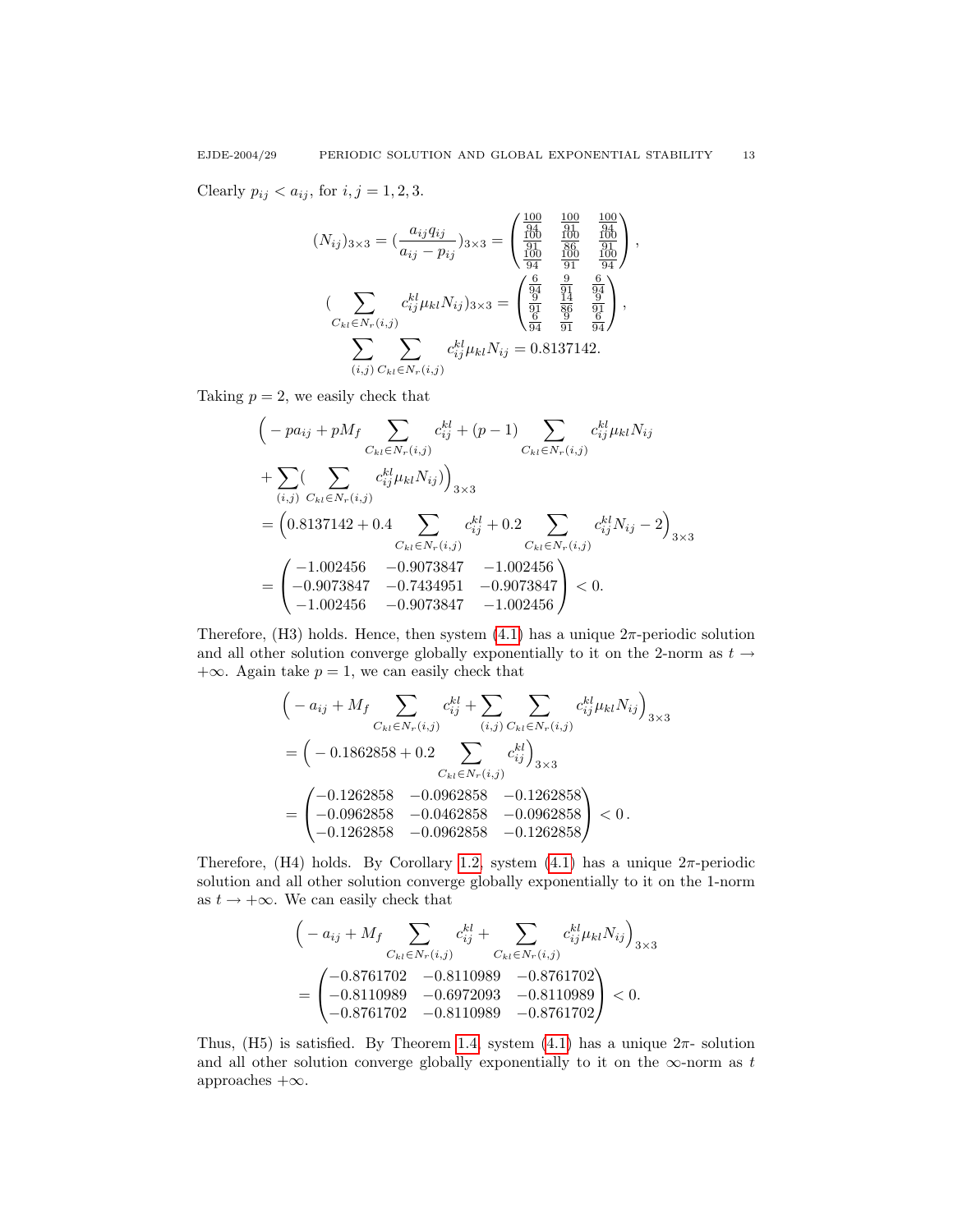Clearly  $p_{ij} < a_{ij}$ , for  $i, j = 1, 2, 3$ .

$$
(N_{ij})_{3\times 3} = \left(\frac{a_{ij}q_{ij}}{a_{ij} - p_{ij}}\right)_{3\times 3} = \begin{pmatrix} \frac{100}{94} & \frac{100}{91} & \frac{100}{94} \\ \frac{100}{94} & \frac{100}{90} & \frac{100}{94} \\ \frac{100}{94} & \frac{100}{91} & \frac{100}{94} \end{pmatrix},
$$

$$
\left(\sum_{\substack{C_{kl}\in N_r(i,j) \\ C_{kl}\in N_r(i,j)}} c_{ij}^{kl} \mu_{kl} N_{ij}\right)_{3\times 3} = \begin{pmatrix} \frac{6}{94} & \frac{9}{91} & \frac{6}{94} \\ \frac{9}{94} & \frac{1}{94} & \frac{9}{94} \\ \frac{6}{94} & \frac{9}{91} & \frac{6}{94} \end{pmatrix},
$$

$$
\sum_{(i,j)} \sum_{C_{kl}\in N_r(i,j)} c_{ij}^{kl} \mu_{kl} N_{ij} = 0.8137142.
$$

Taking  $p = 2$ , we easily check that

$$
\begin{split}\n&\left(-pa_{ij} + pM_f \sum_{C_{kl} \in N_r(i,j)} c_{ij}^{kl} + (p-1) \sum_{C_{kl} \in N_r(i,j)} c_{ij}^{kl} \mu_{kl} N_{ij}\right. \\
&+ \sum_{(i,j)} \sum_{C_{kl} \in N_r(i,j)} c_{ij}^{kl} \mu_{kl} N_{ij}\right)_{3 \times 3} \\
&= \left(0.8137142 + 0.4 \sum_{C_{kl} \in N_r(i,j)} c_{ij}^{kl} + 0.2 \sum_{C_{kl} \in N_r(i,j)} c_{ij}^{kl} N_{ij} - 2\right)_{3 \times 3} \\
&= \begin{pmatrix}\n-1.002456 & -0.9073847 & -1.002456 \\
-0.9073847 & -0.7434951 & -0.9073847 \\
-1.002456 & -0.9073847 & -1.002456\n\end{pmatrix} < 0.\n\end{split}
$$

Therefore, (H3) holds. Hence, then system  $(4.1)$  has a unique  $2\pi$ -periodic solution and all other solution converge globally exponentially to it on the 2-norm as  $t \rightarrow$  $+\infty$ . Again take  $p = 1$ , we can easily check that

$$
\begin{aligned}\n&\left(-a_{ij} + M_f \sum_{C_{kl} \in N_r(i,j)} c_{ij}^{kl} + \sum_{(i,j)} \sum_{C_{kl} \in N_r(i,j)} c_{ij}^{kl} \mu_{kl} N_{ij}\right)_{3 \times 3} \\
&= \left(-0.1862858 + 0.2 \sum_{C_{kl} \in N_r(i,j)} c_{ij}^{kl}\right)_{3 \times 3} \\
&= \begin{pmatrix} -0.1262858 & -0.0962858 & -0.1262858 \\ -0.0962858 & -0.0462858 & -0.0962858 \\ -0.1262858 & -0.0962858 & -0.1262858 \end{pmatrix} < 0.\n\end{aligned}
$$

Therefore, (H4) holds. By Corollary [1.2,](#page-2-2) system [\(4.1\)](#page-11-0) has a unique  $2\pi$ -periodic solution and all other solution converge globally exponentially to it on the 1-norm as  $t\to +\infty.$  We can easily check that

$$
\begin{aligned}\n&\left(-a_{ij} + M_f \sum_{C_{kl} \in N_r(i,j)} c_{ij}^{kl} + \sum_{C_{kl} \in N_r(i,j)} c_{ij}^{kl} \mu_{kl} N_{ij}\right)_{3 \times 3} \\
&= \begin{pmatrix}\n-0.8761702 & -0.8110989 & -0.8761702 \\
-0.8110989 & -0.6972093 & -0.8110989 \\
-0.8761702 & -0.8110989 & -0.8761702\n\end{pmatrix} < 0.\n\end{aligned}
$$

Thus, (H5) is satisfied. By Theorem [1.4,](#page-2-1) system [\(4.1\)](#page-11-0) has a unique  $2\pi$ - solution and all other solution converge globally exponentially to it on the  $\infty$ -norm as t approaches +∞.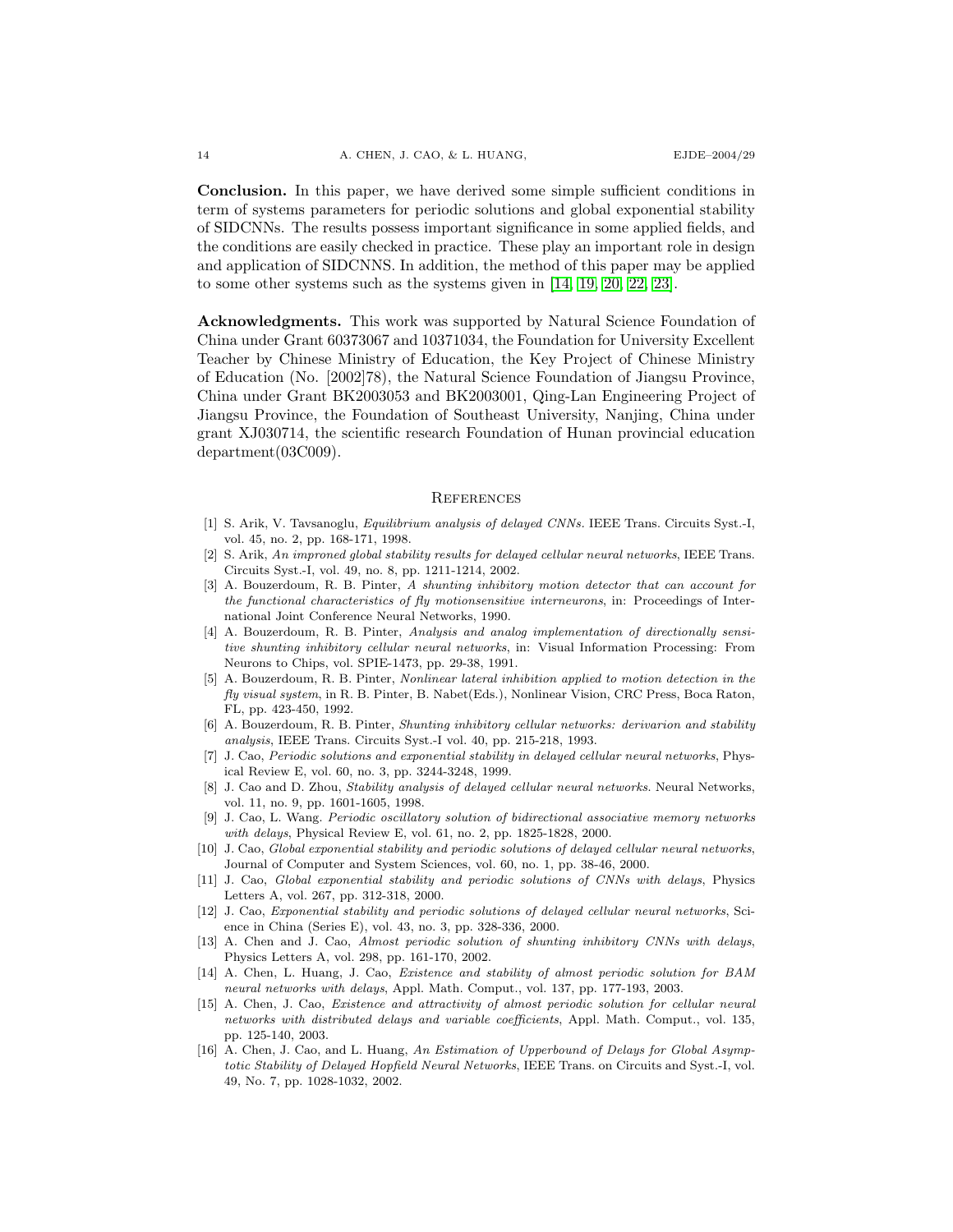Conclusion. In this paper, we have derived some simple sufficient conditions in term of systems parameters for periodic solutions and global exponential stability of SIDCNNs. The results possess important significance in some applied fields, and the conditions are easily checked in practice. These play an important role in design and application of SIDCNNS. In addition, the method of this paper may be applied to some other systems such as the systems given in [\[14,](#page-13-8) [19,](#page-14-16) [20,](#page-14-17) [22,](#page-14-0) [23\]](#page-14-18).

Acknowledgments. This work was supported by Natural Science Foundation of China under Grant 60373067 and 10371034, the Foundation for University Excellent Teacher by Chinese Ministry of Education, the Key Project of Chinese Ministry of Education (No. [2002]78), the Natural Science Foundation of Jiangsu Province, China under Grant BK2003053 and BK2003001, Qing-Lan Engineering Project of Jiangsu Province, the Foundation of Southeast University, Nanjing, China under grant XJ030714, the scientific research Foundation of Hunan provincial education department(03C009).

#### **REFERENCES**

- <span id="page-13-0"></span>[1] S. Arik, V. Tavsanoglu, Equilibrium analysis of delayed CNNs. IEEE Trans. Circuits Syst.-I, vol. 45, no. 2, pp. 168-171, 1998.
- <span id="page-13-1"></span>[2] S. Arik, An improned global stability results for delayed cellular neural networks, IEEE Trans. Circuits Syst.-I, vol. 49, no. 8, pp. 1211-1214, 2002.
- <span id="page-13-12"></span>[3] A. Bouzerdoum, R. B. Pinter, A shunting inhibitory motion detector that can account for the functional characteristics of fly motionsensitive interneurons, in: Proceedings of International Joint Conference Neural Networks, 1990.
- <span id="page-13-13"></span>[4] A. Bouzerdoum, R. B. Pinter, Analysis and analog implementation of directionally sensitive shunting inhibitory cellular neural networks, in: Visual Information Processing: From Neurons to Chips, vol. SPIE-1473, pp. 29-38, 1991.
- <span id="page-13-14"></span>[5] A. Bouzerdoum, R. B. Pinter, Nonlinear lateral inhibition applied to motion detection in the fly visual system, in R. B. Pinter, B. Nabet(Eds.), Nonlinear Vision, CRC Press, Boca Raton, FL, pp. 423-450, 1992.
- <span id="page-13-15"></span>[6] A. Bouzerdoum, R. B. Pinter, Shunting inhibitory cellular networks: derivarion and stability analysis, IEEE Trans. Circuits Syst.-I vol. 40, pp. 215-218, 1993.
- <span id="page-13-11"></span>[7] J. Cao, Periodic solutions and exponential stability in delayed cellular neural networks, Physical Review E, vol. 60, no. 3, pp. 3244-3248, 1999.
- <span id="page-13-2"></span>[8] J. Cao and D. Zhou, Stability analysis of delayed cellular neural networks. Neural Networks, vol. 11, no. 9, pp. 1601-1605, 1998.
- <span id="page-13-3"></span>[9] J. Cao, L. Wang. Periodic oscillatory solution of bidirectional associative memory networks with delays, Physical Review E, vol. 61, no. 2, pp. 1825-1828, 2000.
- <span id="page-13-4"></span>[10] J. Cao, Global exponential stability and periodic solutions of delayed cellular neural networks, Journal of Computer and System Sciences, vol. 60, no. 1, pp. 38-46, 2000.
- <span id="page-13-5"></span>[11] J. Cao, Global exponential stability and periodic solutions of CNNs with delays, Physics Letters A, vol. 267, pp. 312-318, 2000.
- <span id="page-13-6"></span>[12] J. Cao, Exponential stability and periodic solutions of delayed cellular neural networks, Science in China (Series E), vol. 43, no. 3, pp. 328-336, 2000.
- <span id="page-13-7"></span>[13] A. Chen and J. Cao, Almost periodic solution of shunting inhibitory CNNs with delays, Physics Letters A, vol. 298, pp. 161-170, 2002.
- <span id="page-13-8"></span>[14] A. Chen, L. Huang, J. Cao, Existence and stability of almost periodic solution for BAM neural networks with delays, Appl. Math. Comput., vol. 137, pp. 177-193, 2003.
- <span id="page-13-9"></span>[15] A. Chen, J. Cao, Existence and attractivity of almost periodic solution for cellular neural networks with distributed delays and variable coefficients, Appl. Math. Comput., vol. 135, pp. 125-140, 2003.
- <span id="page-13-10"></span>[16] A. Chen, J. Cao, and L. Huang, An Estimation of Upperbound of Delays for Global Asymptotic Stability of Delayed Hopfield Neural Networks, IEEE Trans. on Circuits and Syst.-I, vol. 49, No. 7, pp. 1028-1032, 2002.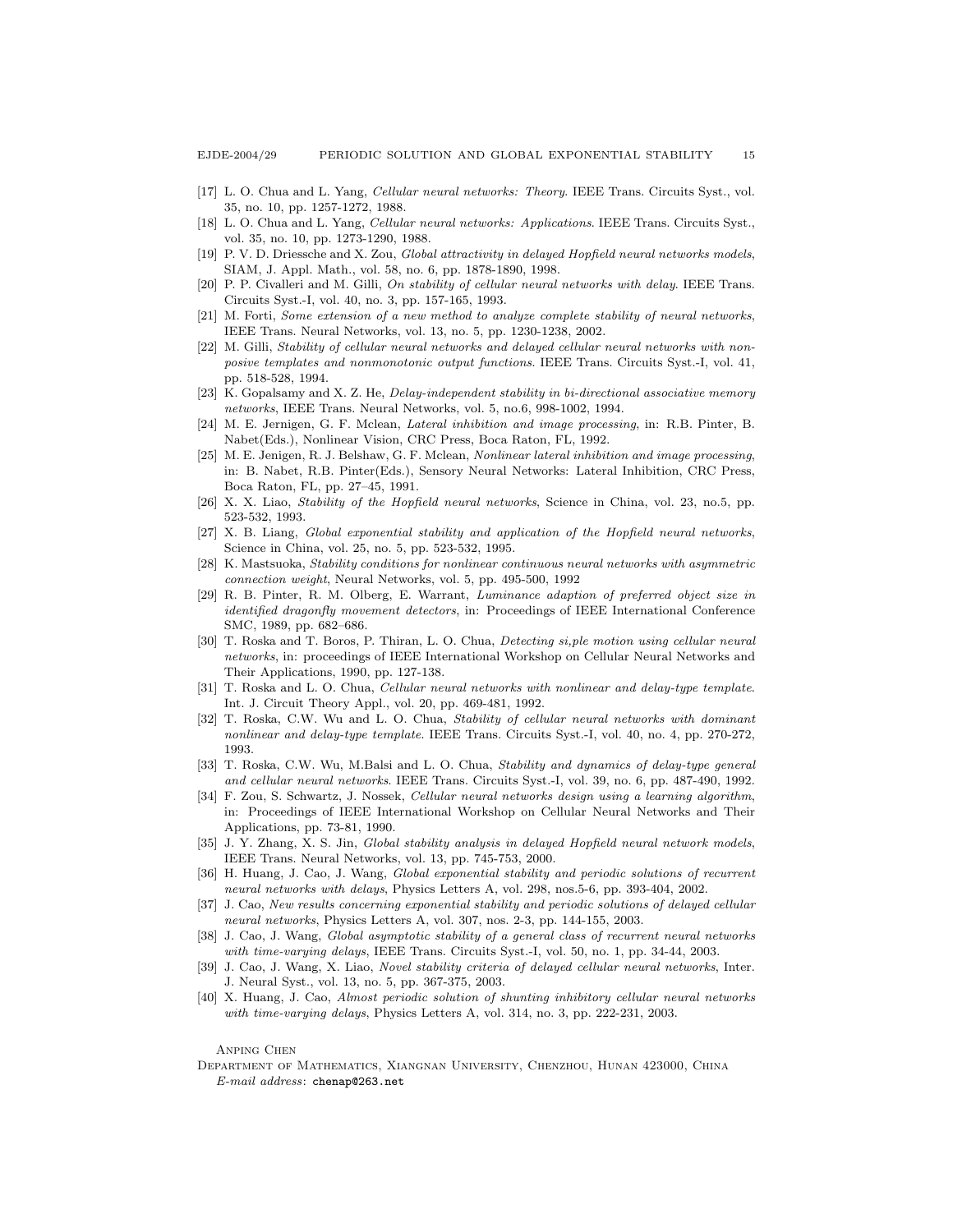- [17] L. O. Chua and L. Yang, Cellular neural networks: Theory. IEEE Trans. Circuits Syst., vol. 35, no. 10, pp. 1257-1272, 1988.
- [18] L. O. Chua and L. Yang, Cellular neural networks: Applications. IEEE Trans. Circuits Syst., vol. 35, no. 10, pp. 1273-1290, 1988.
- <span id="page-14-16"></span>[19] P. V. D. Driessche and X. Zou, *Global attractivity in delayed Hopfield neural networks models*, SIAM, J. Appl. Math., vol. 58, no. 6, pp. 1878-1890, 1998.
- <span id="page-14-17"></span>[20] P. P. Civalleri and M. Gilli, On stability of cellular neural networks with delay. IEEE Trans. Circuits Syst.-I, vol. 40, no. 3, pp. 157-165, 1993.
- [21] M. Forti, Some extension of a new method to analyze complete stability of neural networks, IEEE Trans. Neural Networks, vol. 13, no. 5, pp. 1230-1238, 2002.
- <span id="page-14-0"></span>[22] M. Gilli, Stability of cellular neural networks and delayed cellular neural networks with nonposive templates and nonmonotonic output functions. IEEE Trans. Circuits Syst.-I, vol. 41, pp. 518-528, 1994.
- <span id="page-14-18"></span>[23] K. Gopalsamy and X. Z. He, Delay-independent stability in bi-directional associative memory networks, IEEE Trans. Neural Networks, vol. 5, no.6, 998-1002, 1994.
- <span id="page-14-14"></span>[24] M. E. Jernigen, G. F. Mclean, Lateral inhibition and image processing, in: R.B. Pinter, B. Nabet(Eds.), Nonlinear Vision, CRC Press, Boca Raton, FL, 1992.
- <span id="page-14-1"></span>[25] M. E. Jenigen, R. J. Belshaw, G. F. Mclean, Nonlinear lateral inhibition and image processing, in: B. Nabet, R.B. Pinter(Eds.), Sensory Neural Networks: Lateral Inhibition, CRC Press, Boca Raton, FL, pp. 27–45, 1991.
- <span id="page-14-2"></span>[26] X. X. Liao, Stability of the Hopfield neural networks, Science in China, vol. 23, no.5, pp. 523-532, 1993.
- [27] X. B. Liang, Global exponential stability and application of the Hopfield neural networks, Science in China, vol. 25, no. 5, pp. 523-532, 1995.
- [28] K. Mastsuoka, Stability conditions for nonlinear continuous neural networks with asymmetric connection weight, Neural Networks, vol. 5, pp. 495-500, 1992
- <span id="page-14-15"></span>[29] R. B. Pinter, R. M. Olberg, E. Warrant, Luminance adaption of preferred object size in identified dragonfly movement detectors, in: Proceedings of IEEE International Conference SMC, 1989, pp. 682–686.
- <span id="page-14-3"></span>[30] T. Roska and T. Boros, P. Thiran, L. O. Chua, Detecting si, ple motion using cellular neural networks, in: proceedings of IEEE International Workshop on Cellular Neural Networks and Their Applications, 1990, pp. 127-138.
- <span id="page-14-4"></span>[31] T. Roska and L. O. Chua, Cellular neural networks with nonlinear and delay-type template. Int. J. Circuit Theory Appl., vol. 20, pp. 469-481, 1992.
- <span id="page-14-5"></span>[32] T. Roska, C.W. Wu and L. O. Chua, Stability of cellular neural networks with dominant nonlinear and delay-type template. IEEE Trans. Circuits Syst.-I, vol. 40, no. 4, pp. 270-272, 1993.
- <span id="page-14-6"></span>[33] T. Roska, C.W. Wu, M.Balsi and L. O. Chua, Stability and dynamics of delay-type general and cellular neural networks. IEEE Trans. Circuits Syst.-I, vol. 39, no. 6, pp. 487-490, 1992.
- <span id="page-14-7"></span>[34] F. Zou, S. Schwartz, J. Nossek, Cellular neural networks design using a learning algorithm, in: Proceedings of IEEE International Workshop on Cellular Neural Networks and Their Applications, pp. 73-81, 1990.
- <span id="page-14-8"></span>[35] J. Y. Zhang, X. S. Jin, Global stability analysis in delayed Hopfield neural network models, IEEE Trans. Neural Networks, vol. 13, pp. 745-753, 2000.
- <span id="page-14-9"></span>[36] H. Huang, J. Cao, J. Wang, Global exponential stability and periodic solutions of recurrent neural networks with delays, Physics Letters A, vol. 298, nos.5-6, pp. 393-404, 2002.
- <span id="page-14-10"></span>[37] J. Cao, New results concerning exponential stability and periodic solutions of delayed cellular neural networks, Physics Letters A, vol. 307, nos. 2-3, pp. 144-155, 2003.
- <span id="page-14-11"></span>[38] J. Cao, J. Wang, Global asymptotic stability of a general class of recurrent neural networks with time-varying delays, IEEE Trans. Circuits Syst.-I, vol. 50, no. 1, pp. 34-44, 2003.
- <span id="page-14-12"></span>[39] J. Cao, J. Wang, X. Liao, Novel stability criteria of delayed cellular neural networks, Inter. J. Neural Syst., vol. 13, no. 5, pp. 367-375, 2003.
- <span id="page-14-13"></span>[40] X. Huang, J. Cao, Almost periodic solution of shunting inhibitory cellular neural networks with time-varying delays, Physics Letters A, vol. 314, no. 3, pp. 222-231, 2003.

Anping Chen

Department of Mathematics, Xiangnan University, Chenzhou, Hunan 423000, China E-mail address: chenap@263.net